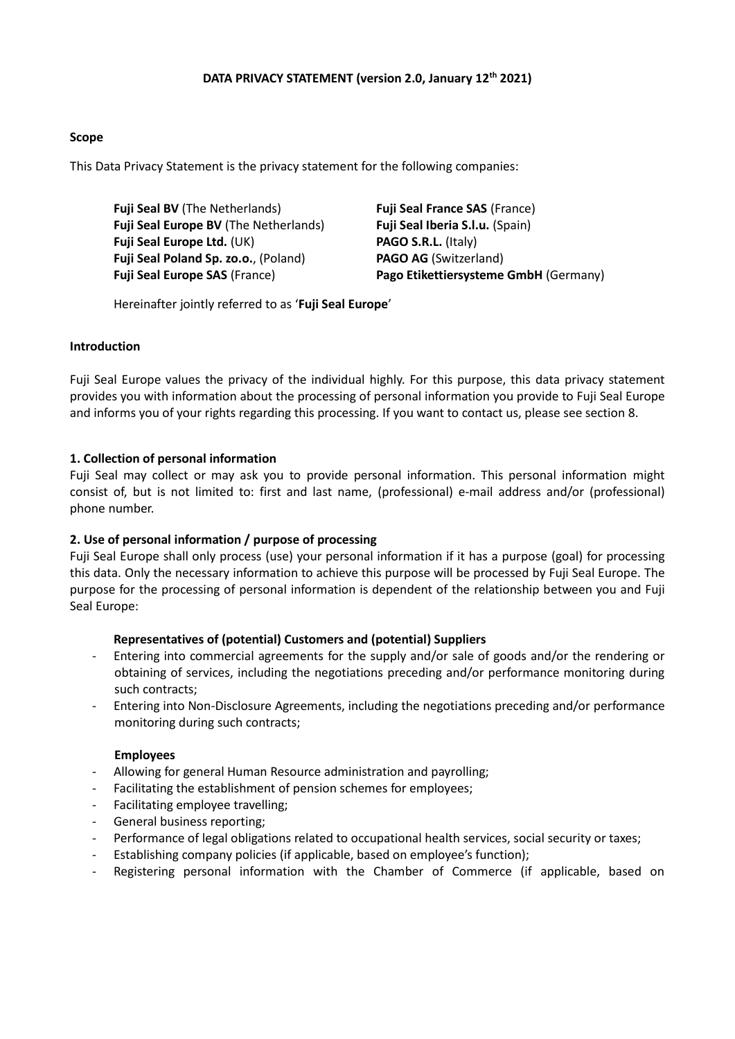# **DATA PRIVACY STATEMENT (version 2.0, January 12th 2021)**

## **Scope**

This Data Privacy Statement is the privacy statement for the following companies:

**Fuji Seal BV** (The Netherlands) **Fuji Seal France SAS** (France) **Fuji Seal Europe BV** (The Netherlands) **Fuji Seal Iberia S.l.u.** (Spain) **Fuji Seal Europe Ltd.** (UK) **PAGO S.R.L.** (Italy) **Fuji Seal Poland Sp. zo.o.**, (Poland) **PAGO AG** (Switzerland)

**Fuji Seal Europe SAS** (France) **Pago Etikettiersysteme GmbH** (Germany)

Hereinafter jointly referred to as '**Fuji Seal Europe**'

## **Introduction**

Fuji Seal Europe values the privacy of the individual highly. For this purpose, this data privacy statement provides you with information about the processing of personal information you provide to Fuji Seal Europe and informs you of your rights regarding this processing. If you want to contact us, please see section 8.

## **1. Collection of personal information**

Fuji Seal may collect or may ask you to provide personal information. This personal information might consist of, but is not limited to: first and last name, (professional) e-mail address and/or (professional) phone number.

## **2. Use of personal information / purpose of processing**

Fuji Seal Europe shall only process (use) your personal information if it has a purpose (goal) for processing this data. Only the necessary information to achieve this purpose will be processed by Fuji Seal Europe. The purpose for the processing of personal information is dependent of the relationship between you and Fuji Seal Europe:

## **Representatives of (potential) Customers and (potential) Suppliers**

- Entering into commercial agreements for the supply and/or sale of goods and/or the rendering or obtaining of services, including the negotiations preceding and/or performance monitoring during such contracts;
- Entering into Non-Disclosure Agreements, including the negotiations preceding and/or performance monitoring during such contracts;

## **Employees**

- Allowing for general Human Resource administration and payrolling;
- Facilitating the establishment of pension schemes for employees;
- Facilitating employee travelling;
- General business reporting;
- Performance of legal obligations related to occupational health services, social security or taxes;
- Establishing company policies (if applicable, based on employee's function);
- Registering personal information with the Chamber of Commerce (if applicable, based on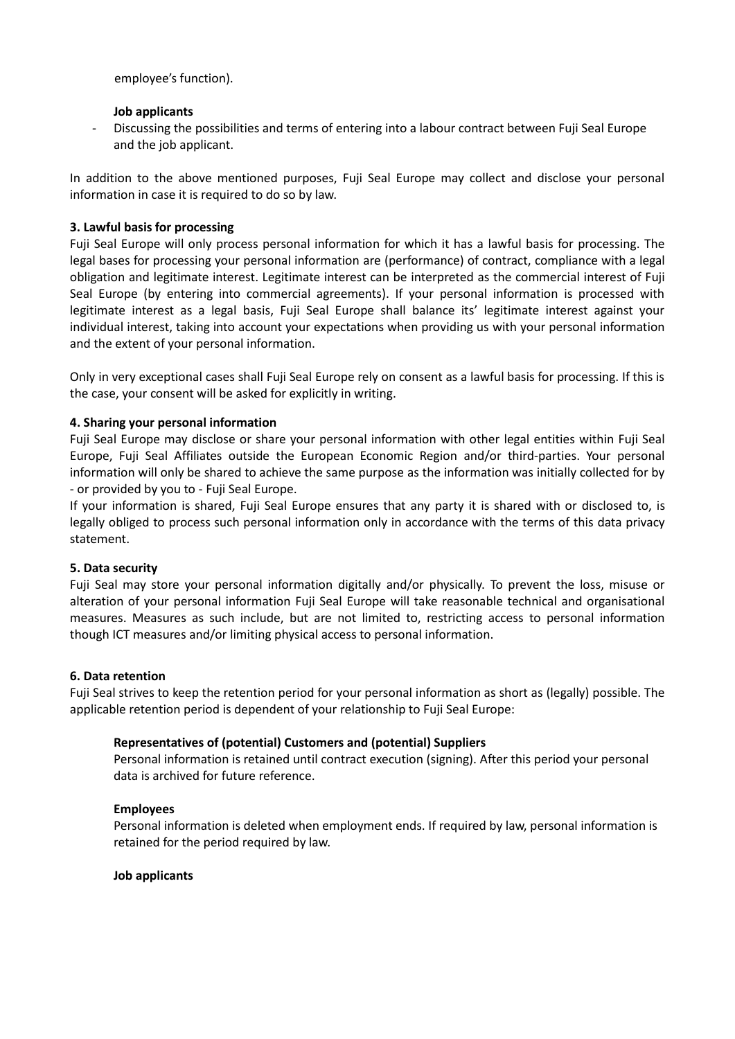employee's function).

# **Job applicants**

- Discussing the possibilities and terms of entering into a labour contract between Fuji Seal Europe and the job applicant.

In addition to the above mentioned purposes, Fuji Seal Europe may collect and disclose your personal information in case it is required to do so by law.

# **3. Lawful basis for processing**

Fuji Seal Europe will only process personal information for which it has a lawful basis for processing. The legal bases for processing your personal information are (performance) of contract, compliance with a legal obligation and legitimate interest. Legitimate interest can be interpreted as the commercial interest of Fuji Seal Europe (by entering into commercial agreements). If your personal information is processed with legitimate interest as a legal basis, Fuji Seal Europe shall balance its' legitimate interest against your individual interest, taking into account your expectations when providing us with your personal information and the extent of your personal information.

Only in very exceptional cases shall Fuji Seal Europe rely on consent as a lawful basis for processing. If this is the case, your consent will be asked for explicitly in writing.

# **4. Sharing your personal information**

Fuji Seal Europe may disclose or share your personal information with other legal entities within Fuji Seal Europe, Fuji Seal Affiliates outside the European Economic Region and/or third-parties. Your personal information will only be shared to achieve the same purpose as the information was initially collected for by - or provided by you to - Fuji Seal Europe.

If your information is shared, Fuji Seal Europe ensures that any party it is shared with or disclosed to, is legally obliged to process such personal information only in accordance with the terms of this data privacy statement.

## **5. Data security**

Fuji Seal may store your personal information digitally and/or physically. To prevent the loss, misuse or alteration of your personal information Fuji Seal Europe will take reasonable technical and organisational measures. Measures as such include, but are not limited to, restricting access to personal information though ICT measures and/or limiting physical access to personal information.

## **6. Data retention**

Fuji Seal strives to keep the retention period for your personal information as short as (legally) possible. The applicable retention period is dependent of your relationship to Fuji Seal Europe:

## **Representatives of (potential) Customers and (potential) Suppliers**

Personal information is retained until contract execution (signing). After this period your personal data is archived for future reference.

## **Employees**

Personal information is deleted when employment ends. If required by law, personal information is retained for the period required by law.

## **Job applicants**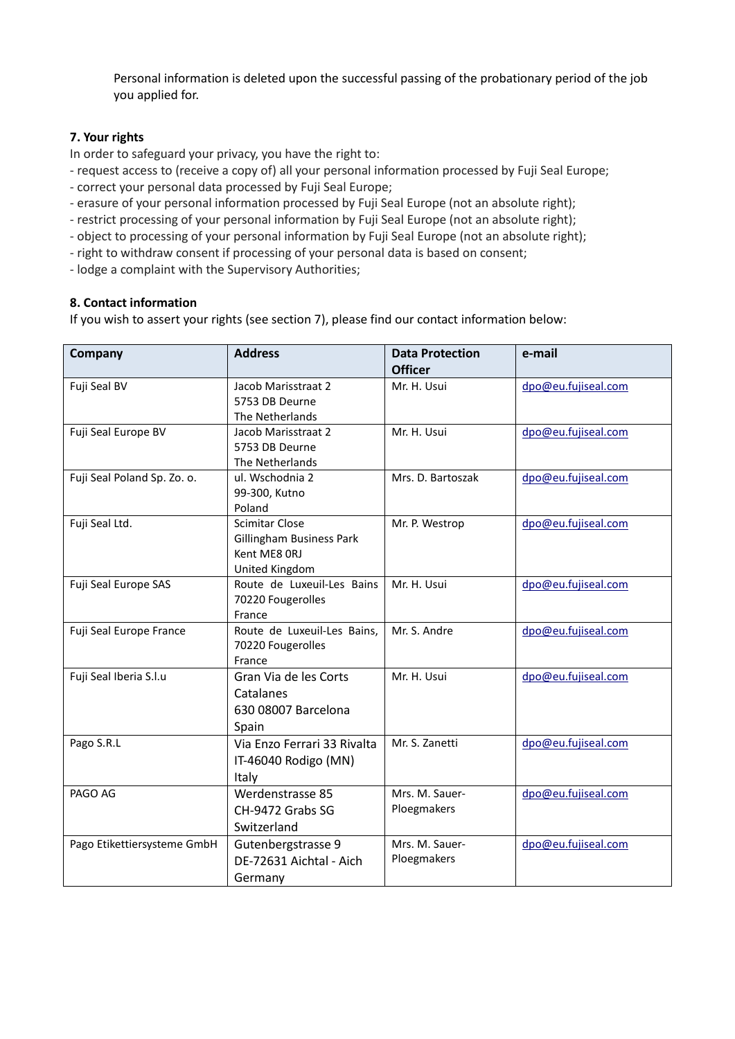Personal information is deleted upon the successful passing of the probationary period of the job you applied for.

# **7. Your rights**

In order to safeguard your privacy, you have the right to:

- request access to (receive a copy of) all your personal information processed by Fuji Seal Europe;
- correct your personal data processed by Fuji Seal Europe;
- erasure of your personal information processed by Fuji Seal Europe (not an absolute right);
- restrict processing of your personal information by Fuji Seal Europe (not an absolute right);
- object to processing of your personal information by Fuji Seal Europe (not an absolute right);
- right to withdraw consent if processing of your personal data is based on consent;
- lodge a complaint with the Supervisory Authorities;

# **8. Contact information**

If you wish to assert your rights (see section 7), please find our contact information below:

| Company                     | <b>Address</b>                                                               | <b>Data Protection</b><br><b>Officer</b> | e-mail              |
|-----------------------------|------------------------------------------------------------------------------|------------------------------------------|---------------------|
| Fuji Seal BV                | Jacob Marisstraat 2<br>5753 DB Deurne<br>The Netherlands                     | Mr. H. Usui                              | dpo@eu.fujiseal.com |
| Fuji Seal Europe BV         | Jacob Marisstraat 2<br>5753 DB Deurne<br>The Netherlands                     | Mr. H. Usui                              | dpo@eu.fujiseal.com |
| Fuji Seal Poland Sp. Zo. o. | ul. Wschodnia 2<br>99-300, Kutno<br>Poland                                   | Mrs. D. Bartoszak                        | dpo@eu.fujiseal.com |
| Fuji Seal Ltd.              | Scimitar Close<br>Gillingham Business Park<br>Kent ME8 ORJ<br>United Kingdom | Mr. P. Westrop                           | dpo@eu.fujiseal.com |
| Fuji Seal Europe SAS        | Route de Luxeuil-Les Bains<br>70220 Fougerolles<br>France                    | Mr. H. Usui                              | dpo@eu.fujiseal.com |
| Fuji Seal Europe France     | Route de Luxeuil-Les Bains,<br>70220 Fougerolles<br>France                   | Mr. S. Andre                             | dpo@eu.fujiseal.com |
| Fuji Seal Iberia S.l.u      | Gran Via de les Corts<br>Catalanes<br>630 08007 Barcelona<br>Spain           | Mr. H. Usui                              | dpo@eu.fujiseal.com |
| Pago S.R.L                  | Via Enzo Ferrari 33 Rivalta<br>IT-46040 Rodigo (MN)<br>Italy                 | Mr. S. Zanetti                           | dpo@eu.fujiseal.com |
| PAGO AG                     | Werdenstrasse 85<br>CH-9472 Grabs SG<br>Switzerland                          | Mrs. M. Sauer-<br>Ploegmakers            | dpo@eu.fujiseal.com |
| Pago Etikettiersysteme GmbH | Gutenbergstrasse 9<br>DE-72631 Aichtal - Aich<br>Germany                     | Mrs. M. Sauer-<br>Ploegmakers            | dpo@eu.fujiseal.com |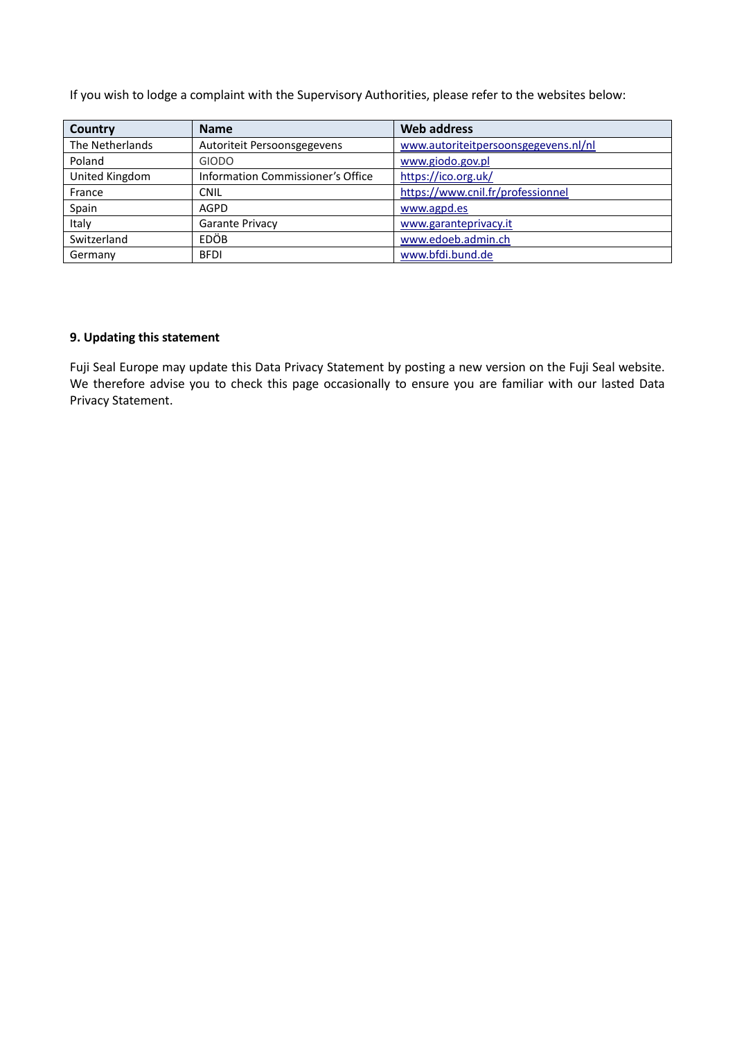If you wish to lodge a complaint with the Supervisory Authorities, please refer to the websites below:

| Country         | <b>Name</b>                       | <b>Web address</b>                   |
|-----------------|-----------------------------------|--------------------------------------|
| The Netherlands | Autoriteit Persoonsgegevens       | www.autoriteitpersoonsgegevens.nl/nl |
| Poland          | <b>GIODO</b>                      | www.giodo.gov.pl                     |
| United Kingdom  | Information Commissioner's Office | https://ico.org.uk/                  |
| France          | CNIL                              | https://www.cnil.fr/professionnel    |
| Spain           | <b>AGPD</b>                       | www.agpd.es                          |
| Italy           | Garante Privacy                   | www.garanteprivacy.it                |
| Switzerland     | <b>EDÖB</b>                       | www.edoeb.admin.ch                   |
| Germany         | <b>BFDI</b>                       | www.bfdi.bund.de                     |

# **9. Updating this statement**

Fuji Seal Europe may update this Data Privacy Statement by posting a new version on the Fuji Seal website. We therefore advise you to check this page occasionally to ensure you are familiar with our lasted Data Privacy Statement.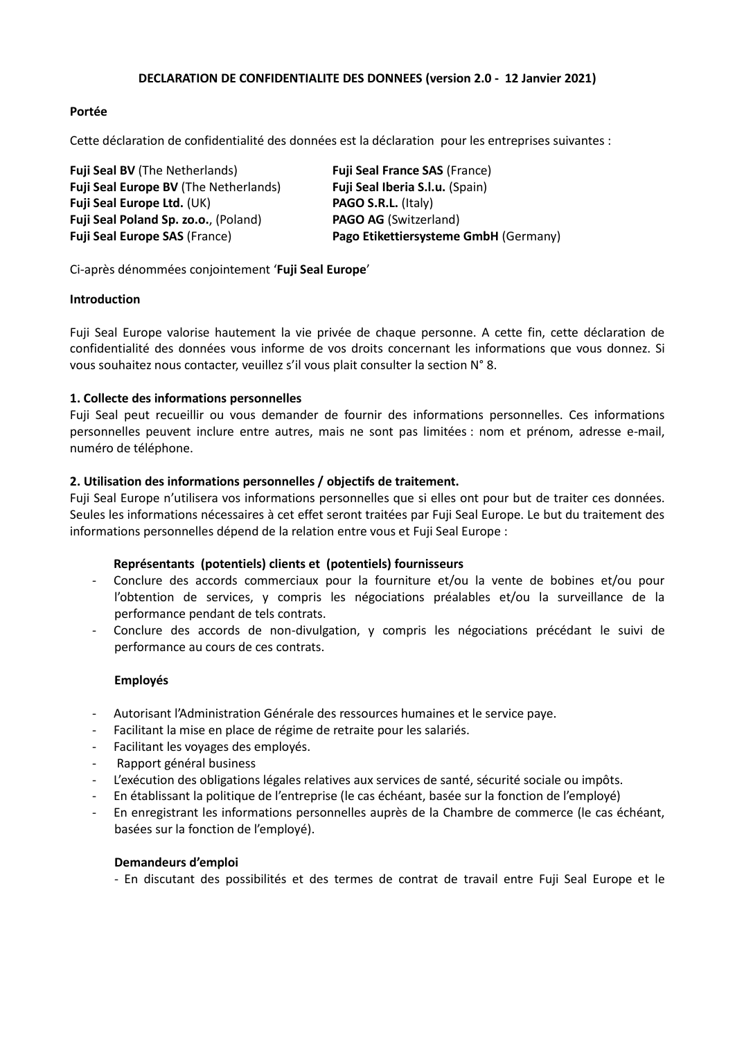## **DECLARATION DE CONFIDENTIALITE DES DONNEES (version 2.0 - 12 Janvier 2021)**

# **Portée**

Cette déclaration de confidentialité des données est la déclaration pour les entreprises suivantes :

**Fuji Seal BV** (The Netherlands) **Fuji Seal France SAS** (France) **Fuji Seal Europe BV** (The Netherlands) **Fuji Seal Iberia S.l.u.** (Spain) **Fuji Seal Europe Ltd.** (UK) **PAGO S.R.L.** (Italy) **Fuji Seal Poland Sp. zo.o.**, (Poland) **PAGO AG** (Switzerland)

**Fuji Seal Europe SAS** (France) **Pago Etikettiersysteme GmbH** (Germany)

Ci-après dénommées conjointement '**Fuji Seal Europe**'

# **Introduction**

Fuji Seal Europe valorise hautement la vie privée de chaque personne. A cette fin, cette déclaration de confidentialité des données vous informe de vos droits concernant les informations que vous donnez. Si vous souhaitez nous contacter, veuillez s'il vous plait consulter la section N° 8.

# **1. Collecte des informations personnelles**

Fuji Seal peut recueillir ou vous demander de fournir des informations personnelles. Ces informations personnelles peuvent inclure entre autres, mais ne sont pas limitées : nom et prénom, adresse e-mail, numéro de téléphone.

# **2. Utilisation des informations personnelles / objectifs de traitement.**

Fuji Seal Europe n'utilisera vos informations personnelles que si elles ont pour but de traiter ces données. Seules les informations nécessaires à cet effet seront traitées par Fuji Seal Europe. Le but du traitement des informations personnelles dépend de la relation entre vous et Fuji Seal Europe :

# **Représentants (potentiels) clients et (potentiels) fournisseurs**

- Conclure des accords commerciaux pour la fourniture et/ou la vente de bobines et/ou pour l'obtention de services, y compris les négociations préalables et/ou la surveillance de la performance pendant de tels contrats.
- Conclure des accords de non-divulgation, y compris les négociations précédant le suivi de performance au cours de ces contrats.

# **Employés**

- Autorisant l'Administration Générale des ressources humaines et le service paye.
- Facilitant la mise en place de régime de retraite pour les salariés.
- Facilitant les voyages des employés.
- Rapport général business
- L'exécution des obligations légales relatives aux services de santé, sécurité sociale ou impôts.
- En établissant la politique de l'entreprise (le cas échéant, basée sur la fonction de l'employé)
- En enregistrant les informations personnelles auprès de la Chambre de commerce (le cas échéant, basées sur la fonction de l'employé).

## **Demandeurs d'emploi**

- En discutant des possibilités et des termes de contrat de travail entre Fuji Seal Europe et le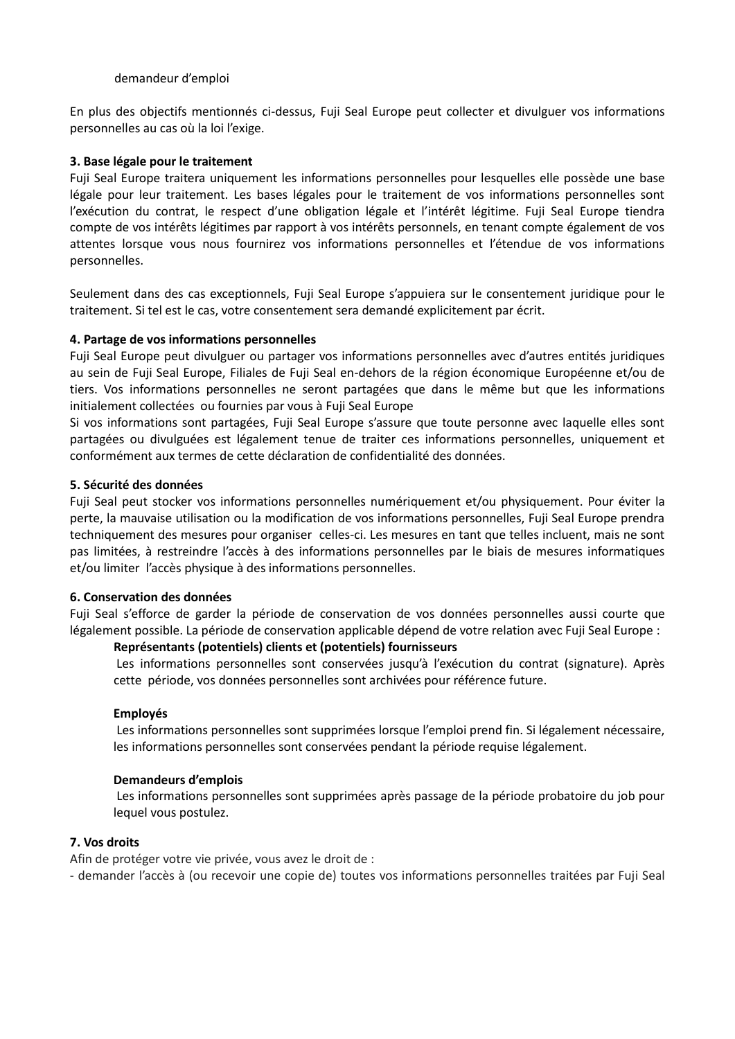## demandeur d'emploi

En plus des objectifs mentionnés ci-dessus, Fuji Seal Europe peut collecter et divulguer vos informations personnelles au cas où la loi l'exige.

### **3. Base légale pour le traitement**

Fuji Seal Europe traitera uniquement les informations personnelles pour lesquelles elle possède une base légale pour leur traitement. Les bases légales pour le traitement de vos informations personnelles sont l'exécution du contrat, le respect d'une obligation légale et l'intérêt légitime. Fuji Seal Europe tiendra compte de vos intérêts légitimes par rapport à vos intérêts personnels, en tenant compte également de vos attentes lorsque vous nous fournirez vos informations personnelles et l'étendue de vos informations personnelles.

Seulement dans des cas exceptionnels, Fuji Seal Europe s'appuiera sur le consentement juridique pour le traitement. Si tel est le cas, votre consentement sera demandé explicitement par écrit.

### **4. Partage de vos informations personnelles**

Fuji Seal Europe peut divulguer ou partager vos informations personnelles avec d'autres entités juridiques au sein de Fuji Seal Europe, Filiales de Fuji Seal en-dehors de la région économique Européenne et/ou de tiers. Vos informations personnelles ne seront partagées que dans le même but que les informations initialement collectées ou fournies par vous à Fuji Seal Europe

Si vos informations sont partagées, Fuji Seal Europe s'assure que toute personne avec laquelle elles sont partagées ou divulguées est légalement tenue de traiter ces informations personnelles, uniquement et conformément aux termes de cette déclaration de confidentialité des données.

### **5. Sécurité des données**

Fuji Seal peut stocker vos informations personnelles numériquement et/ou physiquement. Pour éviter la perte, la mauvaise utilisation ou la modification de vos informations personnelles, Fuji Seal Europe prendra techniquement des mesures pour organiser celles-ci. Les mesures en tant que telles incluent, mais ne sont pas limitées, à restreindre l'accès à des informations personnelles par le biais de mesures informatiques et/ou limiter l'accès physique à des informations personnelles.

#### **6. Conservation des données**

Fuji Seal s'efforce de garder la période de conservation de vos données personnelles aussi courte que légalement possible. La période de conservation applicable dépend de votre relation avec Fuji Seal Europe :

#### **Représentants (potentiels) clients et (potentiels) fournisseurs**

Les informations personnelles sont conservées jusqu'à l'exécution du contrat (signature). Après cette période, vos données personnelles sont archivées pour référence future.

#### **Employés**

Les informations personnelles sont supprimées lorsque l'emploi prend fin. Si légalement nécessaire, les informations personnelles sont conservées pendant la période requise légalement.

#### **Demandeurs d'emplois**

Les informations personnelles sont supprimées après passage de la période probatoire du job pour lequel vous postulez.

## **7. Vos droits**

Afin de protéger votre vie privée, vous avez le droit de :

- demander l'accès à (ou recevoir une copie de) toutes vos informations personnelles traitées par Fuji Seal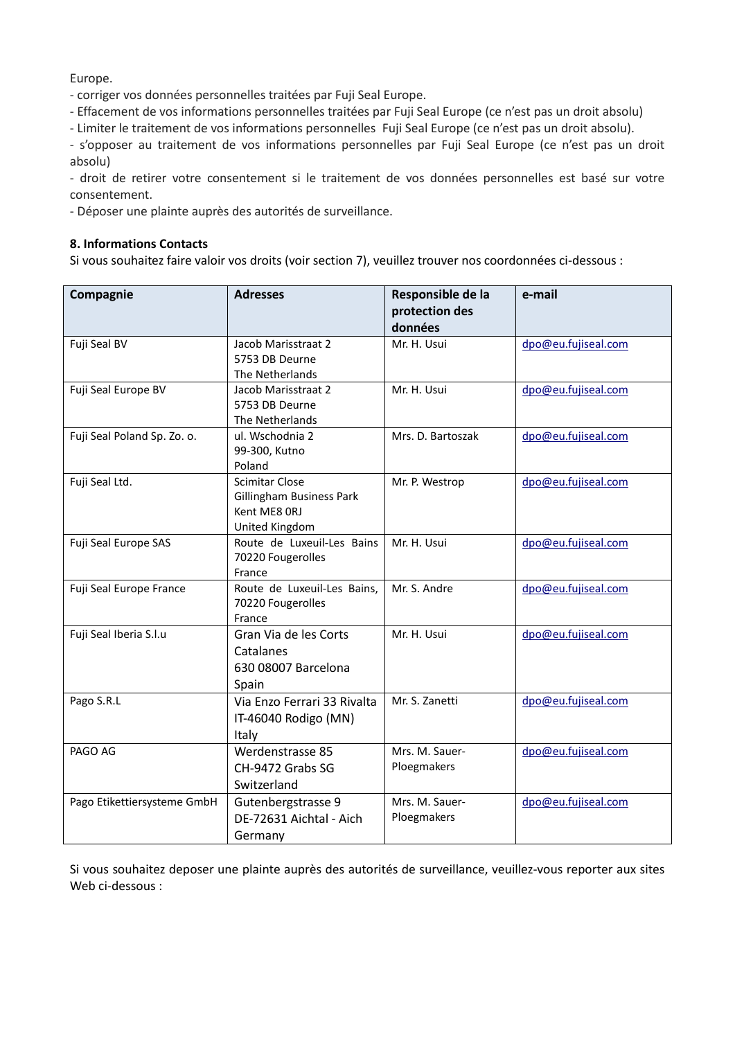Europe.

- corriger vos données personnelles traitées par Fuji Seal Europe.

- Effacement de vos informations personnelles traitées par Fuji Seal Europe (ce n'est pas un droit absolu)

- Limiter le traitement de vos informations personnelles Fuji Seal Europe (ce n'est pas un droit absolu).

- s'opposer au traitement de vos informations personnelles par Fuji Seal Europe (ce n'est pas un droit absolu)

- droit de retirer votre consentement si le traitement de vos données personnelles est basé sur votre consentement.

- Déposer une plainte auprès des autorités de surveillance.

## **8. Informations Contacts**

Si vous souhaitez faire valoir vos droits (voir section 7), veuillez trouver nos coordonnées ci-dessous :

| <b>Adresses</b>       | Responsible de la                                                                                                                                                                                                                                                                                                                                                                                                                                                                  | e-mail                                                                                                             |
|-----------------------|------------------------------------------------------------------------------------------------------------------------------------------------------------------------------------------------------------------------------------------------------------------------------------------------------------------------------------------------------------------------------------------------------------------------------------------------------------------------------------|--------------------------------------------------------------------------------------------------------------------|
|                       | protection des                                                                                                                                                                                                                                                                                                                                                                                                                                                                     |                                                                                                                    |
|                       | données                                                                                                                                                                                                                                                                                                                                                                                                                                                                            |                                                                                                                    |
| Jacob Marisstraat 2   | Mr. H. Usui                                                                                                                                                                                                                                                                                                                                                                                                                                                                        | dpo@eu.fujiseal.com                                                                                                |
| 5753 DB Deurne        |                                                                                                                                                                                                                                                                                                                                                                                                                                                                                    |                                                                                                                    |
| The Netherlands       |                                                                                                                                                                                                                                                                                                                                                                                                                                                                                    |                                                                                                                    |
|                       |                                                                                                                                                                                                                                                                                                                                                                                                                                                                                    | dpo@eu.fujiseal.com                                                                                                |
|                       |                                                                                                                                                                                                                                                                                                                                                                                                                                                                                    |                                                                                                                    |
|                       |                                                                                                                                                                                                                                                                                                                                                                                                                                                                                    |                                                                                                                    |
|                       |                                                                                                                                                                                                                                                                                                                                                                                                                                                                                    | dpo@eu.fujiseal.com                                                                                                |
|                       |                                                                                                                                                                                                                                                                                                                                                                                                                                                                                    |                                                                                                                    |
|                       |                                                                                                                                                                                                                                                                                                                                                                                                                                                                                    |                                                                                                                    |
|                       |                                                                                                                                                                                                                                                                                                                                                                                                                                                                                    | dpo@eu.fujiseal.com                                                                                                |
|                       |                                                                                                                                                                                                                                                                                                                                                                                                                                                                                    |                                                                                                                    |
|                       |                                                                                                                                                                                                                                                                                                                                                                                                                                                                                    |                                                                                                                    |
|                       |                                                                                                                                                                                                                                                                                                                                                                                                                                                                                    | dpo@eu.fujiseal.com                                                                                                |
|                       |                                                                                                                                                                                                                                                                                                                                                                                                                                                                                    |                                                                                                                    |
|                       |                                                                                                                                                                                                                                                                                                                                                                                                                                                                                    |                                                                                                                    |
|                       |                                                                                                                                                                                                                                                                                                                                                                                                                                                                                    | dpo@eu.fujiseal.com                                                                                                |
|                       |                                                                                                                                                                                                                                                                                                                                                                                                                                                                                    |                                                                                                                    |
| France                |                                                                                                                                                                                                                                                                                                                                                                                                                                                                                    |                                                                                                                    |
| Gran Via de les Corts | Mr. H. Usui                                                                                                                                                                                                                                                                                                                                                                                                                                                                        | dpo@eu.fujiseal.com                                                                                                |
| Catalanes             |                                                                                                                                                                                                                                                                                                                                                                                                                                                                                    |                                                                                                                    |
| 630 08007 Barcelona   |                                                                                                                                                                                                                                                                                                                                                                                                                                                                                    |                                                                                                                    |
|                       |                                                                                                                                                                                                                                                                                                                                                                                                                                                                                    |                                                                                                                    |
|                       | Mr. S. Zanetti                                                                                                                                                                                                                                                                                                                                                                                                                                                                     | dpo@eu.fujiseal.com                                                                                                |
|                       |                                                                                                                                                                                                                                                                                                                                                                                                                                                                                    |                                                                                                                    |
| Italy                 |                                                                                                                                                                                                                                                                                                                                                                                                                                                                                    |                                                                                                                    |
|                       | Mrs. M. Sauer-                                                                                                                                                                                                                                                                                                                                                                                                                                                                     | dpo@eu.fujiseal.com                                                                                                |
|                       | Ploegmakers                                                                                                                                                                                                                                                                                                                                                                                                                                                                        |                                                                                                                    |
| Switzerland           |                                                                                                                                                                                                                                                                                                                                                                                                                                                                                    |                                                                                                                    |
|                       |                                                                                                                                                                                                                                                                                                                                                                                                                                                                                    | dpo@eu.fujiseal.com                                                                                                |
|                       |                                                                                                                                                                                                                                                                                                                                                                                                                                                                                    |                                                                                                                    |
|                       |                                                                                                                                                                                                                                                                                                                                                                                                                                                                                    |                                                                                                                    |
|                       | Jacob Marisstraat 2<br>5753 DB Deurne<br>The Netherlands<br>ul. Wschodnia 2<br>99-300, Kutno<br>Poland<br><b>Scimitar Close</b><br>Gillingham Business Park<br>Kent ME8 ORJ<br>United Kingdom<br>Route de Luxeuil-Les Bains<br>70220 Fougerolles<br>France<br>Route de Luxeuil-Les Bains,<br>70220 Fougerolles<br>Spain<br>Via Enzo Ferrari 33 Rivalta<br>IT-46040 Rodigo (MN)<br>Werdenstrasse 85<br>CH-9472 Grabs SG<br>Gutenbergstrasse 9<br>DE-72631 Aichtal - Aich<br>Germany | Mr. H. Usui<br>Mrs. D. Bartoszak<br>Mr. P. Westrop<br>Mr. H. Usui<br>Mr. S. Andre<br>Mrs. M. Sauer-<br>Ploegmakers |

Si vous souhaitez deposer une plainte auprès des autorités de surveillance, veuillez-vous reporter aux sites Web ci-dessous :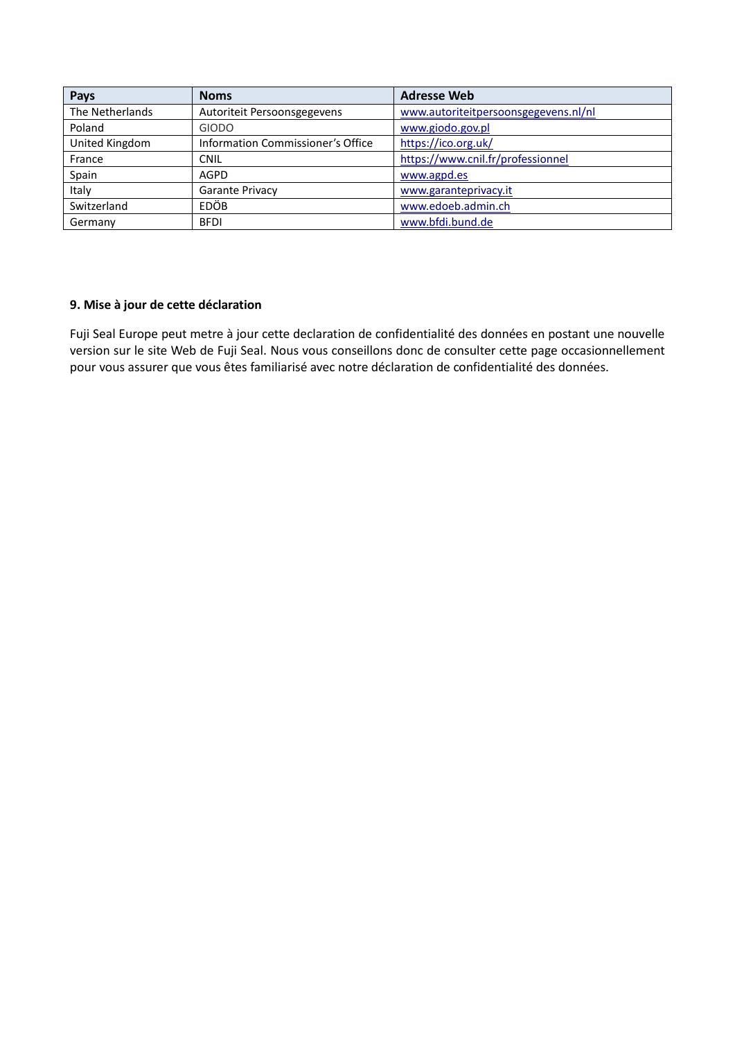| Pays            | <b>Noms</b>                       | <b>Adresse Web</b>                   |
|-----------------|-----------------------------------|--------------------------------------|
| The Netherlands | Autoriteit Persoonsgegevens       | www.autoriteitpersoonsgegevens.nl/nl |
| Poland          | <b>GIODO</b>                      | www.giodo.gov.pl                     |
| United Kingdom  | Information Commissioner's Office | https://ico.org.uk/                  |
| France          | <b>CNIL</b>                       | https://www.cnil.fr/professionnel    |
| Spain           | <b>AGPD</b>                       | www.agpd.es                          |
| Italy           | Garante Privacy                   | www.garanteprivacy.it                |
| Switzerland     | <b>EDÖB</b>                       | www.edoeb.admin.ch                   |
| Germany         | <b>BFDI</b>                       | www.bfdi.bund.de                     |

# **9. Mise à jour de cette déclaration**

Fuji Seal Europe peut metre à jour cette declaration de confidentialité des données en postant une nouvelle version sur le site Web de Fuji Seal. Nous vous conseillons donc de consulter cette page occasionnellement pour vous assurer que vous êtes familiarisé avec notre déclaration de confidentialité des données.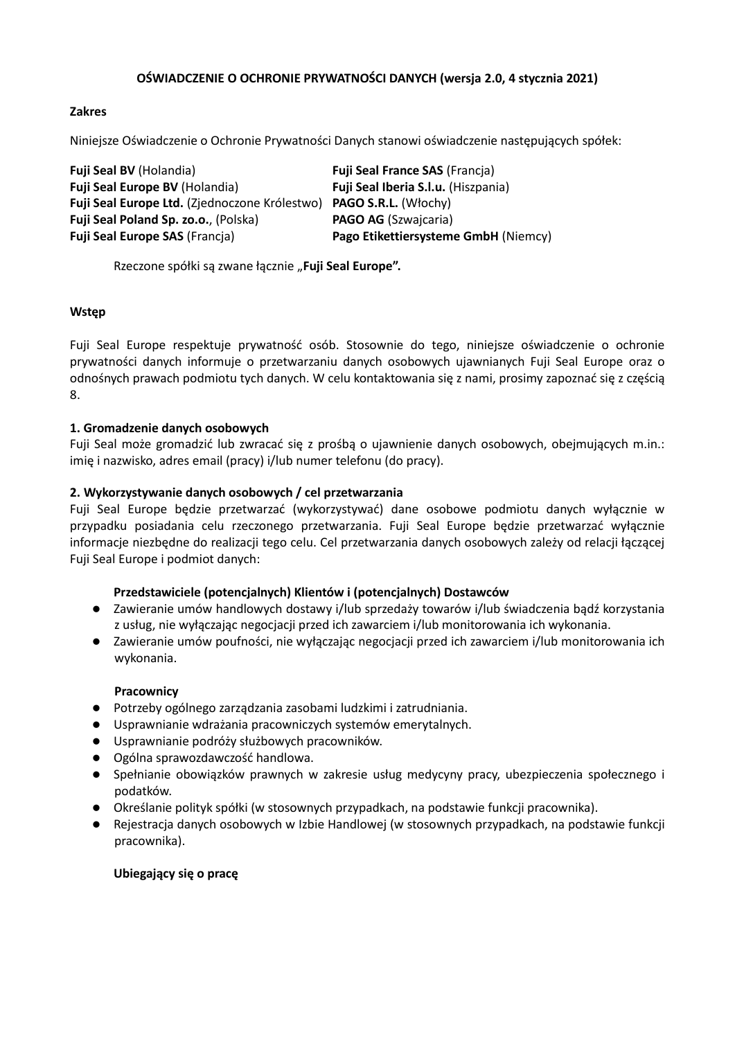# **OŚWIADCZENIE O OCHRONIE PRYWATNOŚCI DANYCH (wersja 2.0, 4 stycznia 2021)**

# **Zakres**

Niniejsze Oświadczenie o Ochronie Prywatności Danych stanowi oświadczenie następujących spółek:

**Fuji Seal BV** (Holandia) **Fuji Seal France SAS** (Francja) **Fuji Seal Europe BV** (Holandia) **Fuji Seal Iberia S.l.u.** (Hiszpania) **Fuji Seal Europe Ltd.** (Zjednoczone Królestwo) **PAGO S.R.L.** (Włochy) **Fuji Seal Poland Sp. zo.o.**, (Polska) **PAGO AG** (Szwajcaria) **Fuji Seal Europe SAS** (Francja) **Pago Etikettiersysteme GmbH** (Niemcy)

Rzeczone spółki są zwane łącznie "**Fuji Seal Europe".** 

# **Wstęp**

Fuji Seal Europe respektuje prywatność osób. Stosownie do tego, niniejsze oświadczenie o ochronie prywatności danych informuje o przetwarzaniu danych osobowych ujawnianych Fuji Seal Europe oraz o odnośnych prawach podmiotu tych danych. W celu kontaktowania się z nami, prosimy zapoznać się z częścią 8.

# **1. Gromadzenie danych osobowych**

Fuji Seal może gromadzić lub zwracać się z prośbą o ujawnienie danych osobowych, obejmujących m.in.: imię i nazwisko, adres email (pracy) i/lub numer telefonu (do pracy).

# **2. Wykorzystywanie danych osobowych / cel przetwarzania**

Fuji Seal Europe będzie przetwarzać (wykorzystywać) dane osobowe podmiotu danych wyłącznie w przypadku posiadania celu rzeczonego przetwarzania. Fuji Seal Europe będzie przetwarzać wyłącznie informacje niezbędne do realizacji tego celu. Cel przetwarzania danych osobowych zależy od relacji łączącej Fuji Seal Europe i podmiot danych:

# **Przedstawiciele (potencjalnych) Klientów i (potencjalnych) Dostawców**

- ⚫ Zawieranie umów handlowych dostawy i/lub sprzedaży towarów i/lub świadczenia bądź korzystania z usług, nie wyłączając negocjacji przed ich zawarciem i/lub monitorowania ich wykonania.
- ⚫ Zawieranie umów poufności, nie wyłączając negocjacji przed ich zawarciem i/lub monitorowania ich wykonania.

# **Pracownicy**

- ⚫ Potrzeby ogólnego zarządzania zasobami ludzkimi i zatrudniania.
- ⚫ Usprawnianie wdrażania pracowniczych systemów emerytalnych.
- ⚫ Usprawnianie podróży służbowych pracowników.
- ⚫ Ogólna sprawozdawczość handlowa.
- ⚫ Spełnianie obowiązków prawnych w zakresie usług medycyny pracy, ubezpieczenia społecznego i podatków.
- ⚫ Określanie polityk spółki (w stosownych przypadkach, na podstawie funkcji pracownika).
- ⚫ Rejestracja danych osobowych w Izbie Handlowej (w stosownych przypadkach, na podstawie funkcji pracownika).

# **Ubiegający się o pracę**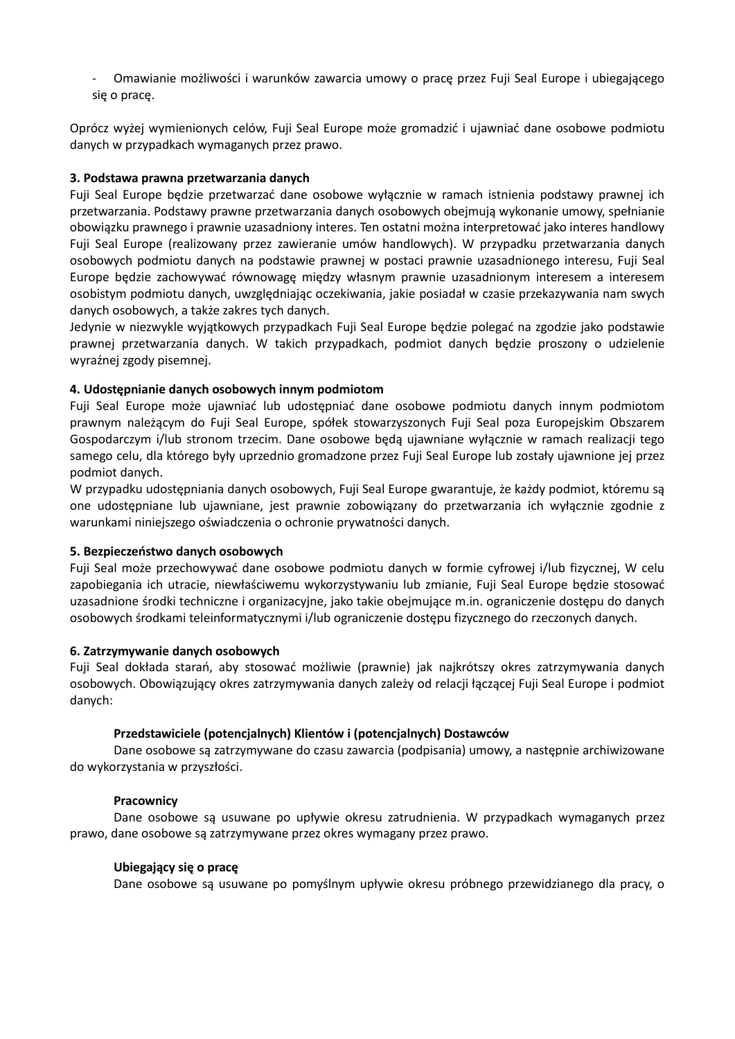- Omawianie możliwości i warunków zawarcia umowy o pracę przez Fuji Seal Europe i ubiegającego się o pracę.

Oprócz wyżej wymienionych celów, Fuji Seal Europe może gromadzić i ujawniać dane osobowe podmiotu danych w przypadkach wymaganych przez prawo.

# **3. Podstawa prawna przetwarzania danych**

Fuji Seal Europe będzie przetwarzać dane osobowe wyłącznie w ramach istnienia podstawy prawnej ich przetwarzania. Podstawy prawne przetwarzania danych osobowych obejmują wykonanie umowy, spełnianie obowiązku prawnego i prawnie uzasadniony interes. Ten ostatni można interpretować jako interes handlowy Fuji Seal Europe (realizowany przez zawieranie umów handlowych). W przypadku przetwarzania danych osobowych podmiotu danych na podstawie prawnej w postaci prawnie uzasadnionego interesu, Fuji Seal Europe będzie zachowywać równowagę między własnym prawnie uzasadnionym interesem a interesem osobistym podmiotu danych, uwzględniając oczekiwania, jakie posiadał w czasie przekazywania nam swych danych osobowych, a także zakres tych danych.

Jedynie w niezwykle wyjątkowych przypadkach Fuji Seal Europe będzie polegać na zgodzie jako podstawie prawnej przetwarzania danych. W takich przypadkach, podmiot danych będzie proszony o udzielenie wyraźnej zgody pisemnej.

# **4. Udostępnianie danych osobowych innym podmiotom**

Fuji Seal Europe może ujawniać lub udostępniać dane osobowe podmiotu danych innym podmiotom prawnym należącym do Fuji Seal Europe, spółek stowarzyszonych Fuji Seal poza Europejskim Obszarem Gospodarczym i/lub stronom trzecim. Dane osobowe będą ujawniane wyłącznie w ramach realizacji tego samego celu, dla którego były uprzednio gromadzone przez Fuji Seal Europe lub zostały ujawnione jej przez podmiot danych.

W przypadku udostępniania danych osobowych, Fuji Seal Europe gwarantuje, że każdy podmiot, któremu są one udostępniane lub ujawniane, jest prawnie zobowiązany do przetwarzania ich wyłącznie zgodnie z warunkami niniejszego oświadczenia o ochronie prywatności danych.

## **5. Bezpieczeństwo danych osobowych**

Fuji Seal może przechowywać dane osobowe podmiotu danych w formie cyfrowej i/lub fizycznej, W celu zapobiegania ich utracie, niewłaściwemu wykorzystywaniu lub zmianie, Fuji Seal Europe będzie stosować uzasadnione środki techniczne i organizacyjne, jako takie obejmujące m.in. ograniczenie dostępu do danych osobowych środkami teleinformatycznymi i/lub ograniczenie dostępu fizycznego do rzeczonych danych.

## **6. Zatrzymywanie danych osobowych**

Fuji Seal dokłada starań, aby stosować możliwie (prawnie) jak najkrótszy okres zatrzymywania danych osobowych. Obowiązujący okres zatrzymywania danych zależy od relacji łączącej Fuji Seal Europe i podmiot danych:

## **Przedstawiciele (potencjalnych) Klientów i (potencjalnych) Dostawców**

Dane osobowe są zatrzymywane do czasu zawarcia (podpisania) umowy, a następnie archiwizowane do wykorzystania w przyszłości.

## **Pracownicy**

Dane osobowe są usuwane po upływie okresu zatrudnienia. W przypadkach wymaganych przez prawo, dane osobowe są zatrzymywane przez okres wymagany przez prawo.

## **Ubiegający się o pracę**

Dane osobowe są usuwane po pomyślnym upływie okresu próbnego przewidzianego dla pracy, o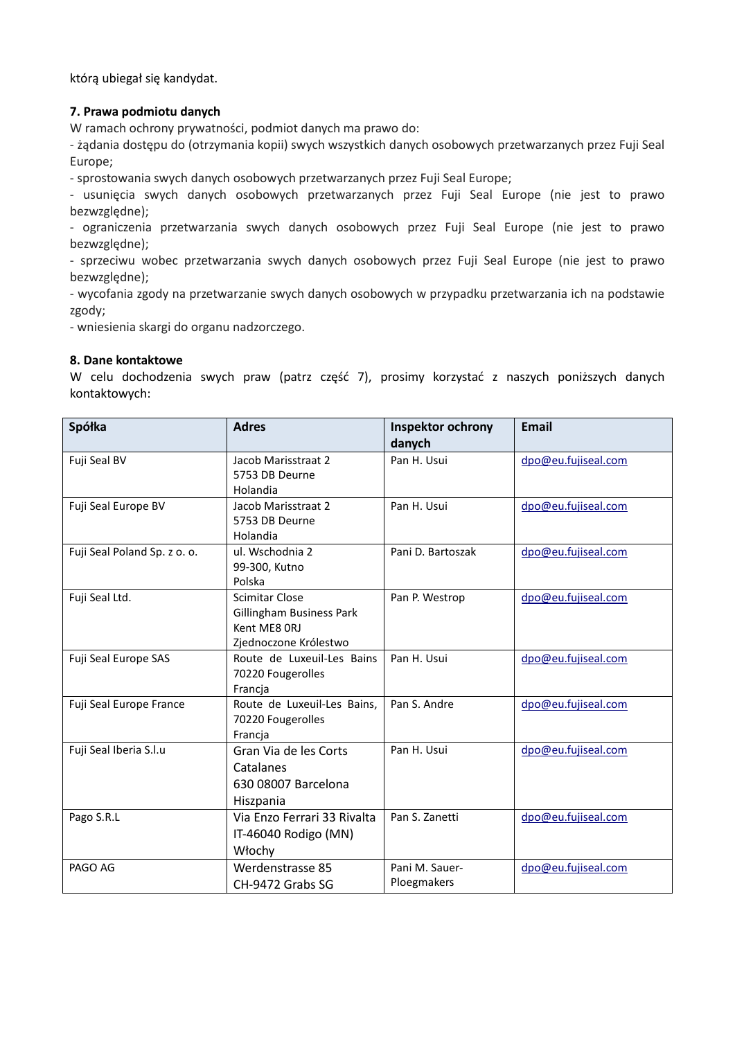którą ubiegał się kandydat.

# **7. Prawa podmiotu danych**

W ramach ochrony prywatności, podmiot danych ma prawo do:

- żądania dostępu do (otrzymania kopii) swych wszystkich danych osobowych przetwarzanych przez Fuji Seal Europe;

- sprostowania swych danych osobowych przetwarzanych przez Fuji Seal Europe;

- usunięcia swych danych osobowych przetwarzanych przez Fuji Seal Europe (nie jest to prawo bezwzględne);

- ograniczenia przetwarzania swych danych osobowych przez Fuji Seal Europe (nie jest to prawo bezwzględne);

- sprzeciwu wobec przetwarzania swych danych osobowych przez Fuji Seal Europe (nie jest to prawo bezwzględne);

- wycofania zgody na przetwarzanie swych danych osobowych w przypadku przetwarzania ich na podstawie zgody;

- wniesienia skargi do organu nadzorczego.

# **8. Dane kontaktowe**

W celu dochodzenia swych praw (patrz część 7), prosimy korzystać z naszych poniższych danych kontaktowych:

| Spółka                       | <b>Adres</b>                | Inspektor ochrony | <b>Email</b>        |
|------------------------------|-----------------------------|-------------------|---------------------|
|                              |                             | danych            |                     |
| Fuji Seal BV                 | Jacob Marisstraat 2         | Pan H. Usui       | dpo@eu.fujiseal.com |
|                              | 5753 DB Deurne              |                   |                     |
|                              | Holandia                    |                   |                     |
| Fuji Seal Europe BV          | Jacob Marisstraat 2         | Pan H. Usui       | dpo@eu.fujiseal.com |
|                              | 5753 DB Deurne              |                   |                     |
|                              | Holandia                    |                   |                     |
| Fuji Seal Poland Sp. z o. o. | ul. Wschodnia 2             | Pani D. Bartoszak | dpo@eu.fujiseal.com |
|                              | 99-300, Kutno               |                   |                     |
|                              | Polska                      |                   |                     |
| Fuji Seal Ltd.               | <b>Scimitar Close</b>       | Pan P. Westrop    | dpo@eu.fujiseal.com |
|                              | Gillingham Business Park    |                   |                     |
|                              | Kent ME8 ORJ                |                   |                     |
|                              | Zjednoczone Królestwo       |                   |                     |
| Fuji Seal Europe SAS         | Route de Luxeuil-Les Bains  | Pan H. Usui       | dpo@eu.fujiseal.com |
|                              | 70220 Fougerolles           |                   |                     |
|                              | Francja                     |                   |                     |
| Fuji Seal Europe France      | Route de Luxeuil-Les Bains, | Pan S. Andre      | dpo@eu.fujiseal.com |
|                              | 70220 Fougerolles           |                   |                     |
|                              | Francia                     |                   |                     |
| Fuji Seal Iberia S.l.u       | Gran Via de les Corts       | Pan H. Usui       | dpo@eu.fujiseal.com |
|                              | Catalanes                   |                   |                     |
|                              | 630 08007 Barcelona         |                   |                     |
|                              | Hiszpania                   |                   |                     |
| Pago S.R.L                   | Via Enzo Ferrari 33 Rivalta | Pan S. Zanetti    | dpo@eu.fujiseal.com |
|                              | IT-46040 Rodigo (MN)        |                   |                     |
|                              | Włochy                      |                   |                     |
| PAGO AG                      | Werdenstrasse 85            | Pani M. Sauer-    | dpo@eu.fujiseal.com |
|                              | CH-9472 Grabs SG            | Ploegmakers       |                     |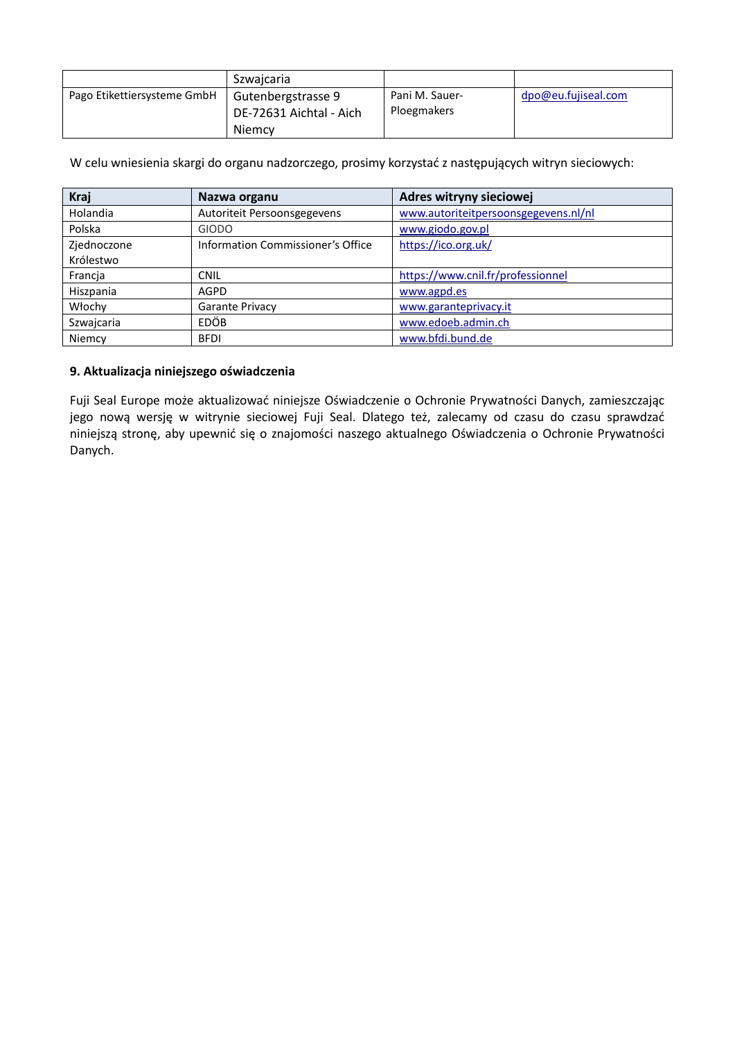|                             | <b>Szwaicaria</b>                                       |                               |                     |
|-----------------------------|---------------------------------------------------------|-------------------------------|---------------------|
| Pago Etikettiersysteme GmbH | Gutenbergstrasse 9<br>DE-72631 Aichtal - Aich<br>Niemcy | Pani M. Sauer-<br>Ploegmakers | dpo@eu.fujiseal.com |

W celu wniesienia skargi do organu nadzorczego, prosimy korzystać z następujących witryn sieciowych:

| <b>Kraj</b> | Nazwa organu                      | Adres witryny sieciowej              |
|-------------|-----------------------------------|--------------------------------------|
| Holandia    | Autoriteit Persoonsgegevens       | www.autoriteitpersoonsgegevens.nl/nl |
| Polska      | <b>GIODO</b>                      | www.giodo.gov.pl                     |
| Zjednoczone | Information Commissioner's Office | https://ico.org.uk/                  |
| Królestwo   |                                   |                                      |
| Francja     | <b>CNIL</b>                       | https://www.cnil.fr/professionnel    |
| Hiszpania   | <b>AGPD</b>                       | www.agpd.es                          |
| Włochy      | Garante Privacy                   | www.garanteprivacy.it                |
| Szwajcaria  | <b>EDÖB</b>                       | www.edoeb.admin.ch                   |
| Niemcy      | <b>BFDI</b>                       | www.bfdi.bund.de                     |

# **9. Aktualizacja niniejszego oświadczenia**

Fuji Seal Europe może aktualizować niniejsze Oświadczenie o Ochronie Prywatności Danych, zamieszczając jego nową wersję w witrynie sieciowej Fuji Seal. Dlatego też, zalecamy od czasu do czasu sprawdzać niniejszą stronę, aby upewnić się o znajomości naszego aktualnego Oświadczenia o Ochronie Prywatności Danych.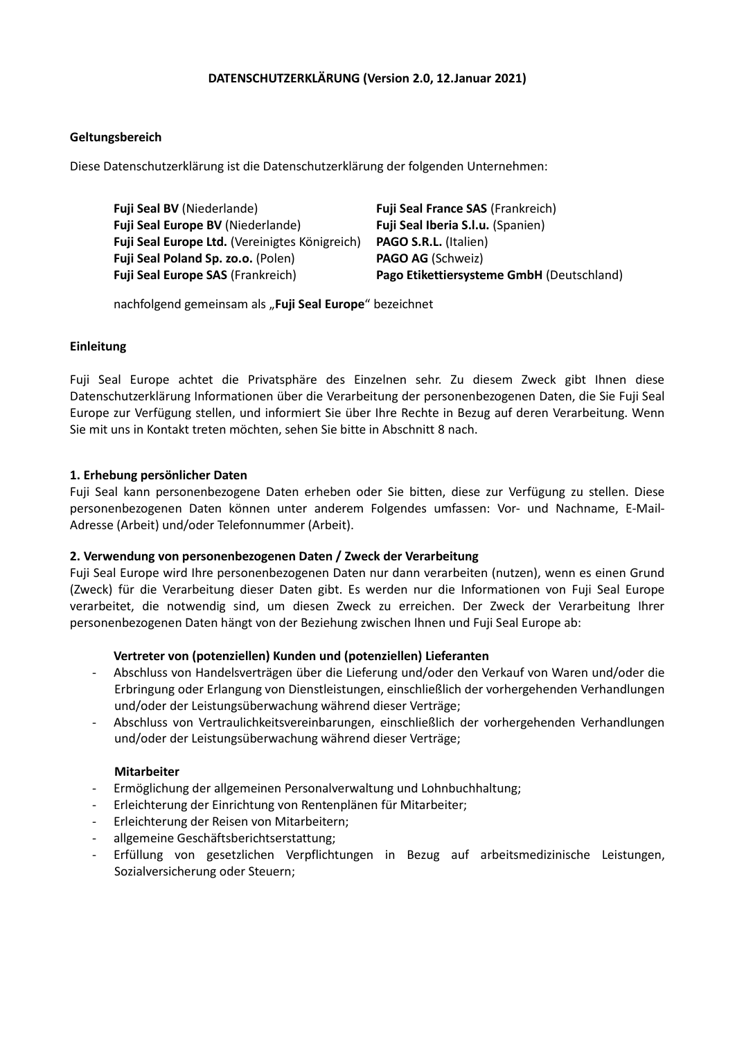# **DATENSCHUTZERKLÄRUNG (Version 2.0, 12.Januar 2021)**

## **Geltungsbereich**

Diese Datenschutzerklärung ist die Datenschutzerklärung der folgenden Unternehmen:

| <b>Fuji Seal France SAS (Frankreich)</b>  |
|-------------------------------------------|
| <b>Fuji Seal Iberia S.I.u.</b> (Spanien)  |
| PAGO S.R.L. (Italien)                     |
| <b>PAGO AG (Schweiz)</b>                  |
| Pago Etikettiersysteme GmbH (Deutschland) |
|                                           |

nachfolgend gemeinsam als "**Fuji Seal Europe**" bezeichnet

### **Einleitung**

Fuji Seal Europe achtet die Privatsphäre des Einzelnen sehr. Zu diesem Zweck gibt Ihnen diese Datenschutzerklärung Informationen über die Verarbeitung der personenbezogenen Daten, die Sie Fuji Seal Europe zur Verfügung stellen, und informiert Sie über Ihre Rechte in Bezug auf deren Verarbeitung. Wenn Sie mit uns in Kontakt treten möchten, sehen Sie bitte in Abschnitt 8 nach.

### **1. Erhebung persönlicher Daten**

Fuji Seal kann personenbezogene Daten erheben oder Sie bitten, diese zur Verfügung zu stellen. Diese personenbezogenen Daten können unter anderem Folgendes umfassen: Vor- und Nachname, E-Mail-Adresse (Arbeit) und/oder Telefonnummer (Arbeit).

#### **2. Verwendung von personenbezogenen Daten / Zweck der Verarbeitung**

Fuji Seal Europe wird Ihre personenbezogenen Daten nur dann verarbeiten (nutzen), wenn es einen Grund (Zweck) für die Verarbeitung dieser Daten gibt. Es werden nur die Informationen von Fuji Seal Europe verarbeitet, die notwendig sind, um diesen Zweck zu erreichen. Der Zweck der Verarbeitung Ihrer personenbezogenen Daten hängt von der Beziehung zwischen Ihnen und Fuji Seal Europe ab:

## **Vertreter von (potenziellen) Kunden und (potenziellen) Lieferanten**

- Abschluss von Handelsverträgen über die Lieferung und/oder den Verkauf von Waren und/oder die Erbringung oder Erlangung von Dienstleistungen, einschließlich der vorhergehenden Verhandlungen und/oder der Leistungsüberwachung während dieser Verträge;
- Abschluss von Vertraulichkeitsvereinbarungen, einschließlich der vorhergehenden Verhandlungen und/oder der Leistungsüberwachung während dieser Verträge;

#### **Mitarbeiter**

- Ermöglichung der allgemeinen Personalverwaltung und Lohnbuchhaltung;
- Erleichterung der Einrichtung von Rentenplänen für Mitarbeiter;
- Erleichterung der Reisen von Mitarbeitern;
- allgemeine Geschäftsberichtserstattung;
- Erfüllung von gesetzlichen Verpflichtungen in Bezug auf arbeitsmedizinische Leistungen, Sozialversicherung oder Steuern;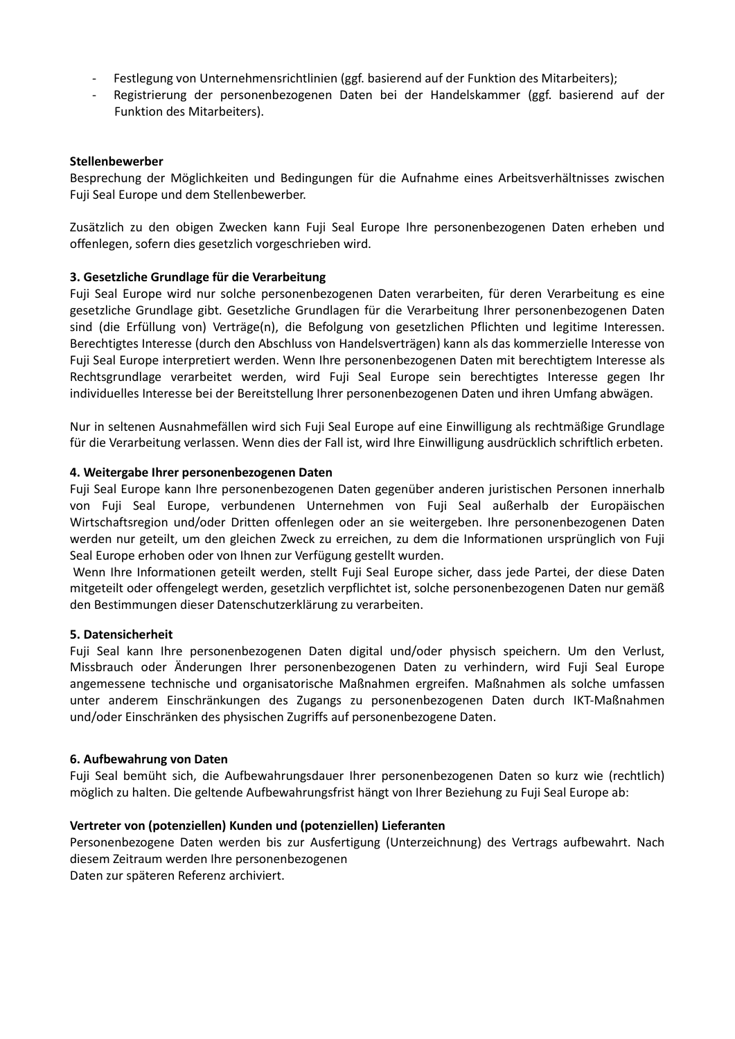- Festlegung von Unternehmensrichtlinien (ggf. basierend auf der Funktion des Mitarbeiters);
- Registrierung der personenbezogenen Daten bei der Handelskammer (ggf. basierend auf der Funktion des Mitarbeiters).

### **Stellenbewerber**

Besprechung der Möglichkeiten und Bedingungen für die Aufnahme eines Arbeitsverhältnisses zwischen Fuji Seal Europe und dem Stellenbewerber.

Zusätzlich zu den obigen Zwecken kann Fuji Seal Europe Ihre personenbezogenen Daten erheben und offenlegen, sofern dies gesetzlich vorgeschrieben wird.

## **3. Gesetzliche Grundlage für die Verarbeitung**

Fuji Seal Europe wird nur solche personenbezogenen Daten verarbeiten, für deren Verarbeitung es eine gesetzliche Grundlage gibt. Gesetzliche Grundlagen für die Verarbeitung Ihrer personenbezogenen Daten sind (die Erfüllung von) Verträge(n), die Befolgung von gesetzlichen Pflichten und legitime Interessen. Berechtigtes Interesse (durch den Abschluss von Handelsverträgen) kann als das kommerzielle Interesse von Fuji Seal Europe interpretiert werden. Wenn Ihre personenbezogenen Daten mit berechtigtem Interesse als Rechtsgrundlage verarbeitet werden, wird Fuji Seal Europe sein berechtigtes Interesse gegen Ihr individuelles Interesse bei der Bereitstellung Ihrer personenbezogenen Daten und ihren Umfang abwägen.

Nur in seltenen Ausnahmefällen wird sich Fuji Seal Europe auf eine Einwilligung als rechtmäßige Grundlage für die Verarbeitung verlassen. Wenn dies der Fall ist, wird Ihre Einwilligung ausdrücklich schriftlich erbeten.

#### **4. Weitergabe Ihrer personenbezogenen Daten**

Fuji Seal Europe kann Ihre personenbezogenen Daten gegenüber anderen juristischen Personen innerhalb von Fuji Seal Europe, verbundenen Unternehmen von Fuji Seal außerhalb der Europäischen Wirtschaftsregion und/oder Dritten offenlegen oder an sie weitergeben. Ihre personenbezogenen Daten werden nur geteilt, um den gleichen Zweck zu erreichen, zu dem die Informationen ursprünglich von Fuji Seal Europe erhoben oder von Ihnen zur Verfügung gestellt wurden.

Wenn Ihre Informationen geteilt werden, stellt Fuji Seal Europe sicher, dass jede Partei, der diese Daten mitgeteilt oder offengelegt werden, gesetzlich verpflichtet ist, solche personenbezogenen Daten nur gemäß den Bestimmungen dieser Datenschutzerklärung zu verarbeiten.

#### **5. Datensicherheit**

Fuji Seal kann Ihre personenbezogenen Daten digital und/oder physisch speichern. Um den Verlust, Missbrauch oder Änderungen Ihrer personenbezogenen Daten zu verhindern, wird Fuji Seal Europe angemessene technische und organisatorische Maßnahmen ergreifen. Maßnahmen als solche umfassen unter anderem Einschränkungen des Zugangs zu personenbezogenen Daten durch IKT-Maßnahmen und/oder Einschränken des physischen Zugriffs auf personenbezogene Daten.

#### **6. Aufbewahrung von Daten**

Fuji Seal bemüht sich, die Aufbewahrungsdauer Ihrer personenbezogenen Daten so kurz wie (rechtlich) möglich zu halten. Die geltende Aufbewahrungsfrist hängt von Ihrer Beziehung zu Fuji Seal Europe ab:

## **Vertreter von (potenziellen) Kunden und (potenziellen) Lieferanten**

Personenbezogene Daten werden bis zur Ausfertigung (Unterzeichnung) des Vertrags aufbewahrt. Nach diesem Zeitraum werden Ihre personenbezogenen

Daten zur späteren Referenz archiviert.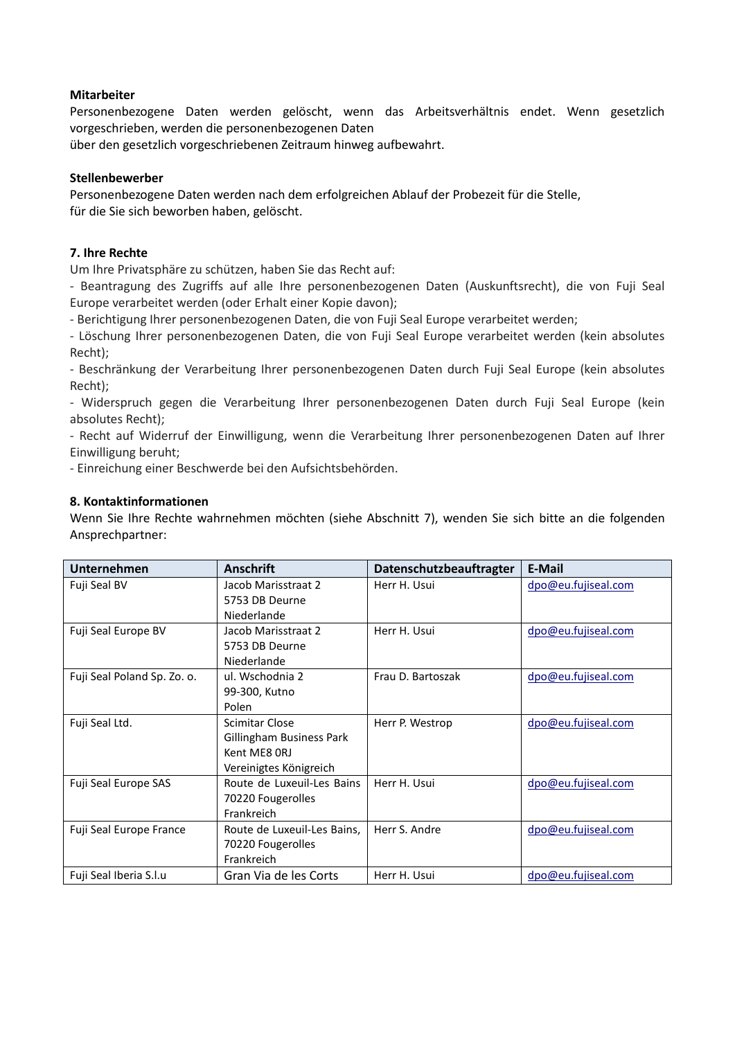# **Mitarbeiter**

Personenbezogene Daten werden gelöscht, wenn das Arbeitsverhältnis endet. Wenn gesetzlich vorgeschrieben, werden die personenbezogenen Daten

über den gesetzlich vorgeschriebenen Zeitraum hinweg aufbewahrt.

# **Stellenbewerber**

Personenbezogene Daten werden nach dem erfolgreichen Ablauf der Probezeit für die Stelle, für die Sie sich beworben haben, gelöscht.

# **7. Ihre Rechte**

Um Ihre Privatsphäre zu schützen, haben Sie das Recht auf:

- Beantragung des Zugriffs auf alle Ihre personenbezogenen Daten (Auskunftsrecht), die von Fuji Seal Europe verarbeitet werden (oder Erhalt einer Kopie davon);

- Berichtigung Ihrer personenbezogenen Daten, die von Fuji Seal Europe verarbeitet werden;

- Löschung Ihrer personenbezogenen Daten, die von Fuji Seal Europe verarbeitet werden (kein absolutes Recht);

- Beschränkung der Verarbeitung Ihrer personenbezogenen Daten durch Fuji Seal Europe (kein absolutes Recht);

- Widerspruch gegen die Verarbeitung Ihrer personenbezogenen Daten durch Fuji Seal Europe (kein absolutes Recht);

- Recht auf Widerruf der Einwilligung, wenn die Verarbeitung Ihrer personenbezogenen Daten auf Ihrer Einwilligung beruht;

- Einreichung einer Beschwerde bei den Aufsichtsbehörden.

# **8. Kontaktinformationen**

Wenn Sie Ihre Rechte wahrnehmen möchten (siehe Abschnitt 7), wenden Sie sich bitte an die folgenden Ansprechpartner:

| Unternehmen                 | <b>Anschrift</b>            | Datenschutzbeauftragter | E-Mail              |
|-----------------------------|-----------------------------|-------------------------|---------------------|
| Fuji Seal BV                | Jacob Marisstraat 2         | Herr H. Usui            | dpo@eu.fujiseal.com |
|                             | 5753 DB Deurne              |                         |                     |
|                             | Niederlande                 |                         |                     |
| Fuji Seal Europe BV         | Jacob Marisstraat 2         | Herr H. Usui            | dpo@eu.fujiseal.com |
|                             | 5753 DB Deurne              |                         |                     |
|                             | Niederlande                 |                         |                     |
| Fuji Seal Poland Sp. Zo. o. | ul. Wschodnia 2             | Frau D. Bartoszak       | dpo@eu.fujiseal.com |
|                             | 99-300, Kutno               |                         |                     |
|                             | Polen                       |                         |                     |
| Fuji Seal Ltd.              | Scimitar Close              | Herr P. Westrop         | dpo@eu.fujiseal.com |
|                             | Gillingham Business Park    |                         |                     |
|                             | Kent ME8 ORJ                |                         |                     |
|                             | Vereinigtes Königreich      |                         |                     |
| Fuji Seal Europe SAS        | Route de Luxeuil-Les Bains  | Herr H. Usui            | dpo@eu.fujiseal.com |
|                             | 70220 Fougerolles           |                         |                     |
|                             | Frankreich                  |                         |                     |
| Fuji Seal Europe France     | Route de Luxeuil-Les Bains, | Herr S. Andre           | dpo@eu.fujiseal.com |
|                             | 70220 Fougerolles           |                         |                     |
|                             | Frankreich                  |                         |                     |
| Fuji Seal Iberia S.l.u      | Gran Via de les Corts       | Herr H. Usui            | dpo@eu.fujiseal.com |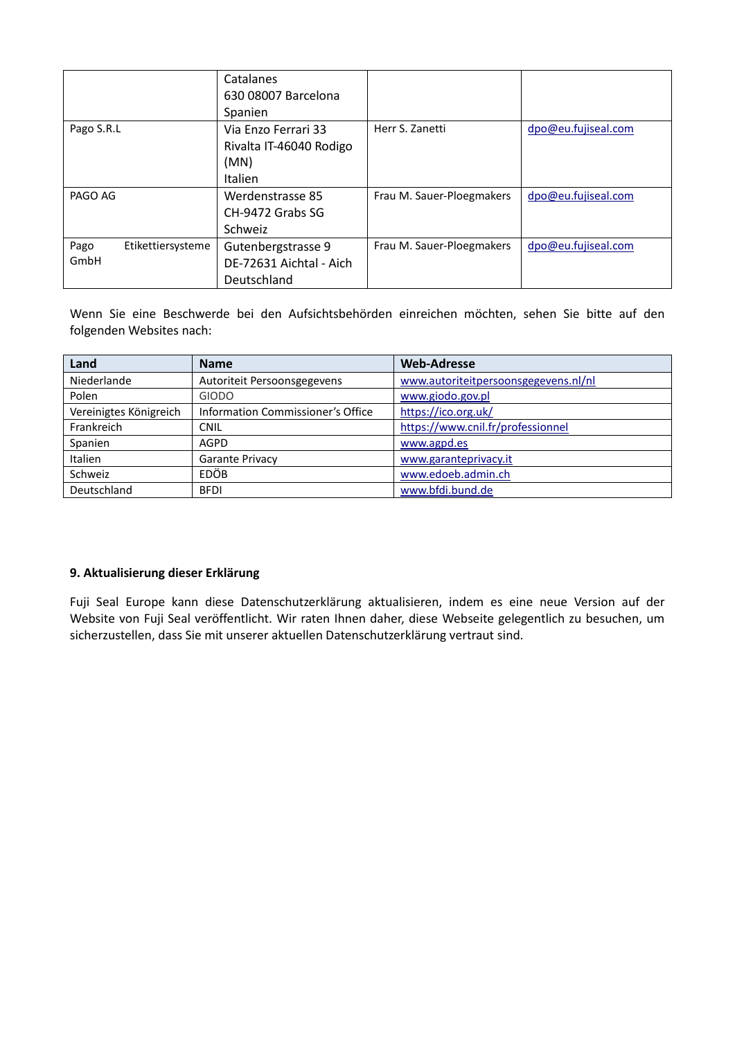|                                   | Catalanes<br>630 08007 Barcelona<br>Spanien                       |                           |                     |
|-----------------------------------|-------------------------------------------------------------------|---------------------------|---------------------|
| Pago S.R.L                        | Via Enzo Ferrari 33<br>Rivalta IT-46040 Rodigo<br>(MN)<br>Italien | Herr S. Zanetti           | dpo@eu.fujiseal.com |
| PAGO AG                           | Werdenstrasse 85<br>CH-9472 Grabs SG<br>Schweiz                   | Frau M. Sauer-Ploegmakers | dpo@eu.fujiseal.com |
| Etikettiersysteme<br>Pago<br>GmbH | Gutenbergstrasse 9<br>DE-72631 Aichtal - Aich<br>Deutschland      | Frau M. Sauer-Ploegmakers | dpo@eu.fujiseal.com |

Wenn Sie eine Beschwerde bei den Aufsichtsbehörden einreichen möchten, sehen Sie bitte auf den folgenden Websites nach:

| Land                   | <b>Name</b>                       | <b>Web-Adresse</b>                   |
|------------------------|-----------------------------------|--------------------------------------|
| Niederlande            | Autoriteit Persoonsgegevens       | www.autoriteitpersoonsgegevens.nl/nl |
| Polen                  | <b>GIODO</b>                      | www.giodo.gov.pl                     |
| Vereinigtes Königreich | Information Commissioner's Office | https://ico.org.uk/                  |
| Frankreich             | <b>CNIL</b>                       | https://www.cnil.fr/professionnel    |
| Spanien                | <b>AGPD</b>                       | www.agpd.es                          |
| <b>Italien</b>         | Garante Privacy                   | www.garanteprivacy.it                |
| Schweiz                | EDÖB                              | www.edoeb.admin.ch                   |
| Deutschland            | <b>BFDI</b>                       | www.bfdi.bund.de                     |

# **9. Aktualisierung dieser Erklärung**

Fuji Seal Europe kann diese Datenschutzerklärung aktualisieren, indem es eine neue Version auf der Website von Fuji Seal veröffentlicht. Wir raten Ihnen daher, diese Webseite gelegentlich zu besuchen, um sicherzustellen, dass Sie mit unserer aktuellen Datenschutzerklärung vertraut sind.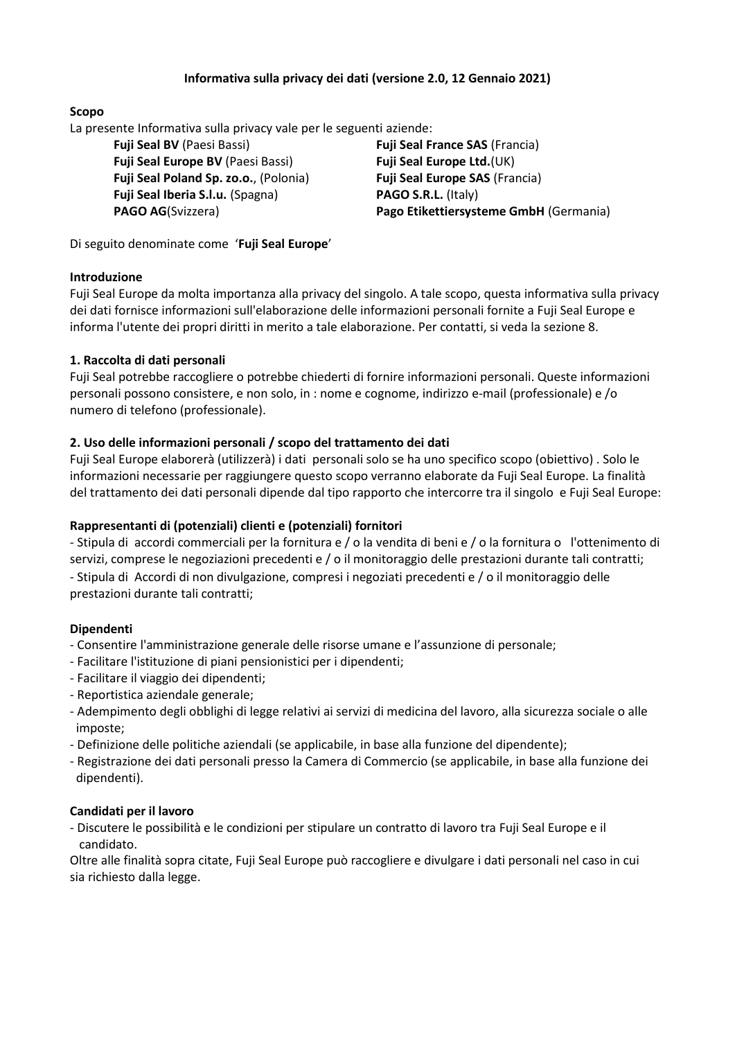# **Informativa sulla privacy dei dati (versione 2.0, 12 Gennaio 2021)**

# **Scopo**

La presente Informativa sulla privacy vale per le seguenti aziende:

**Fuji Seal BV** (Paesi Bassi) **Fuji Seal France SAS** (Francia) **Fuji Seal Europe BV** (Paesi Bassi) **Fuji Seal Europe Ltd.**(UK) **Fuji Seal Poland Sp. zo.o.**, (Polonia) **Fuji Seal Europe SAS** (Francia) **Fuji Seal Iberia S.l.u.** (Spagna) **PAGO S.R.L.** (Italy)

**PAGO AG**(Svizzera) **Pago Etikettiersysteme GmbH** (Germania)

Di seguito denominate come '**Fuji Seal Europe**'

# **Introduzione**

Fuji Seal Europe da molta importanza alla privacy del singolo. A tale scopo, questa informativa sulla privacy dei dati fornisce informazioni sull'elaborazione delle informazioni personali fornite a Fuji Seal Europe e informa l'utente dei propri diritti in merito a tale elaborazione. Per contatti, si veda la sezione 8.

# **1. Raccolta di dati personali**

Fuji Seal potrebbe raccogliere o potrebbe chiederti di fornire informazioni personali. Queste informazioni personali possono consistere, e non solo, in : nome e cognome, indirizzo e-mail (professionale) e /o numero di telefono (professionale).

# **2. Uso delle informazioni personali / scopo del trattamento dei dati**

Fuji Seal Europe elaborerà (utilizzerà) i dati personali solo se ha uno specifico scopo (obiettivo) . Solo le informazioni necessarie per raggiungere questo scopo verranno elaborate da Fuji Seal Europe. La finalità del trattamento dei dati personali dipende dal tipo rapporto che intercorre tra il singolo e Fuji Seal Europe:

# **Rappresentanti di (potenziali) clienti e (potenziali) fornitori**

- Stipula di accordi commerciali per la fornitura e / o la vendita di beni e / o la fornitura o l'ottenimento di servizi, comprese le negoziazioni precedenti e / o il monitoraggio delle prestazioni durante tali contratti; - Stipula di Accordi di non divulgazione, compresi i negoziati precedenti e / o il monitoraggio delle prestazioni durante tali contratti;

## **Dipendenti**

- Consentire l'amministrazione generale delle risorse umane e l'assunzione di personale;
- Facilitare l'istituzione di piani pensionistici per i dipendenti;
- Facilitare il viaggio dei dipendenti;
- Reportistica aziendale generale;
- Adempimento degli obblighi di legge relativi ai servizi di medicina del lavoro, alla sicurezza sociale o alle imposte;
- Definizione delle politiche aziendali (se applicabile, in base alla funzione del dipendente);
- Registrazione dei dati personali presso la Camera di Commercio (se applicabile, in base alla funzione dei dipendenti).

## **Candidati per il lavoro**

- Discutere le possibilità e le condizioni per stipulare un contratto di lavoro tra Fuji Seal Europe e il candidato.

Oltre alle finalità sopra citate, Fuji Seal Europe può raccogliere e divulgare i dati personali nel caso in cui sia richiesto dalla legge.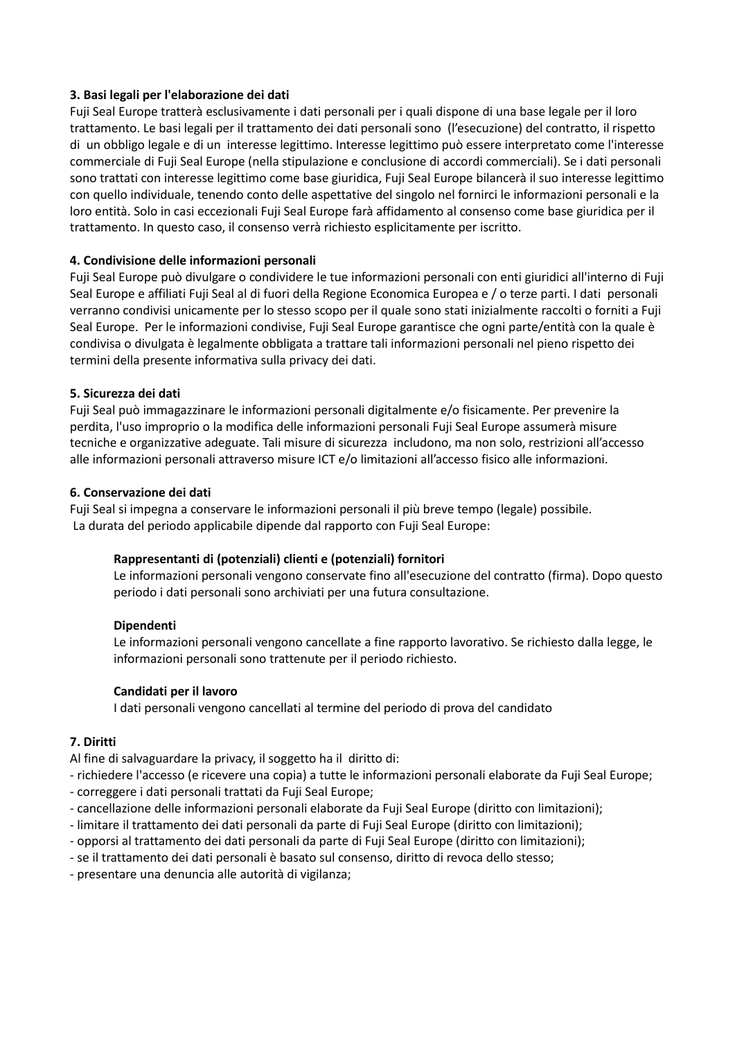# **3. Basi legali per l'elaborazione dei dati**

Fuji Seal Europe tratterà esclusivamente i dati personali per i quali dispone di una base legale per il loro trattamento. Le basi legali per il trattamento dei dati personali sono (l'esecuzione) del contratto, il rispetto di un obbligo legale e di un interesse legittimo. Interesse legittimo può essere interpretato come l'interesse commerciale di Fuji Seal Europe (nella stipulazione e conclusione di accordi commerciali). Se i dati personali sono trattati con interesse legittimo come base giuridica, Fuji Seal Europe bilancerà il suo interesse legittimo con quello individuale, tenendo conto delle aspettative del singolo nel fornirci le informazioni personali e la loro entità. Solo in casi eccezionali Fuji Seal Europe farà affidamento al consenso come base giuridica per il trattamento. In questo caso, il consenso verrà richiesto esplicitamente per iscritto.

# **4. Condivisione delle informazioni personali**

Fuji Seal Europe può divulgare o condividere le tue informazioni personali con enti giuridici all'interno di Fuji Seal Europe e affiliati Fuji Seal al di fuori della Regione Economica Europea e / o terze parti. I dati personali verranno condivisi unicamente per lo stesso scopo per il quale sono stati inizialmente raccolti o forniti a Fuji Seal Europe. Per le informazioni condivise, Fuji Seal Europe garantisce che ogni parte/entità con la quale è condivisa o divulgata è legalmente obbligata a trattare tali informazioni personali nel pieno rispetto dei termini della presente informativa sulla privacy dei dati.

# **5. Sicurezza dei dati**

Fuji Seal può immagazzinare le informazioni personali digitalmente e/o fisicamente. Per prevenire la perdita, l'uso improprio o la modifica delle informazioni personali Fuji Seal Europe assumerà misure tecniche e organizzative adeguate. Tali misure di sicurezza includono, ma non solo, restrizioni all'accesso alle informazioni personali attraverso misure ICT e/o limitazioni all'accesso fisico alle informazioni.

## **6. Conservazione dei dati**

Fuji Seal si impegna a conservare le informazioni personali il più breve tempo (legale) possibile. La durata del periodo applicabile dipende dal rapporto con Fuji Seal Europe:

# **Rappresentanti di (potenziali) clienti e (potenziali) fornitori**

Le informazioni personali vengono conservate fino all'esecuzione del contratto (firma). Dopo questo periodo i dati personali sono archiviati per una futura consultazione.

# **Dipendenti**

Le informazioni personali vengono cancellate a fine rapporto lavorativo. Se richiesto dalla legge, le informazioni personali sono trattenute per il periodo richiesto.

## **Candidati per il lavoro**

I dati personali vengono cancellati al termine del periodo di prova del candidato

## **7. Diritti**

Al fine di salvaguardare la privacy, il soggetto ha il diritto di:

- richiedere l'accesso (e ricevere una copia) a tutte le informazioni personali elaborate da Fuji Seal Europe;

- correggere i dati personali trattati da Fuji Seal Europe;
- cancellazione delle informazioni personali elaborate da Fuji Seal Europe (diritto con limitazioni);
- limitare il trattamento dei dati personali da parte di Fuji Seal Europe (diritto con limitazioni);
- opporsi al trattamento dei dati personali da parte di Fuji Seal Europe (diritto con limitazioni);
- se il trattamento dei dati personali è basato sul consenso, diritto di revoca dello stesso;
- presentare una denuncia alle autorità di vigilanza;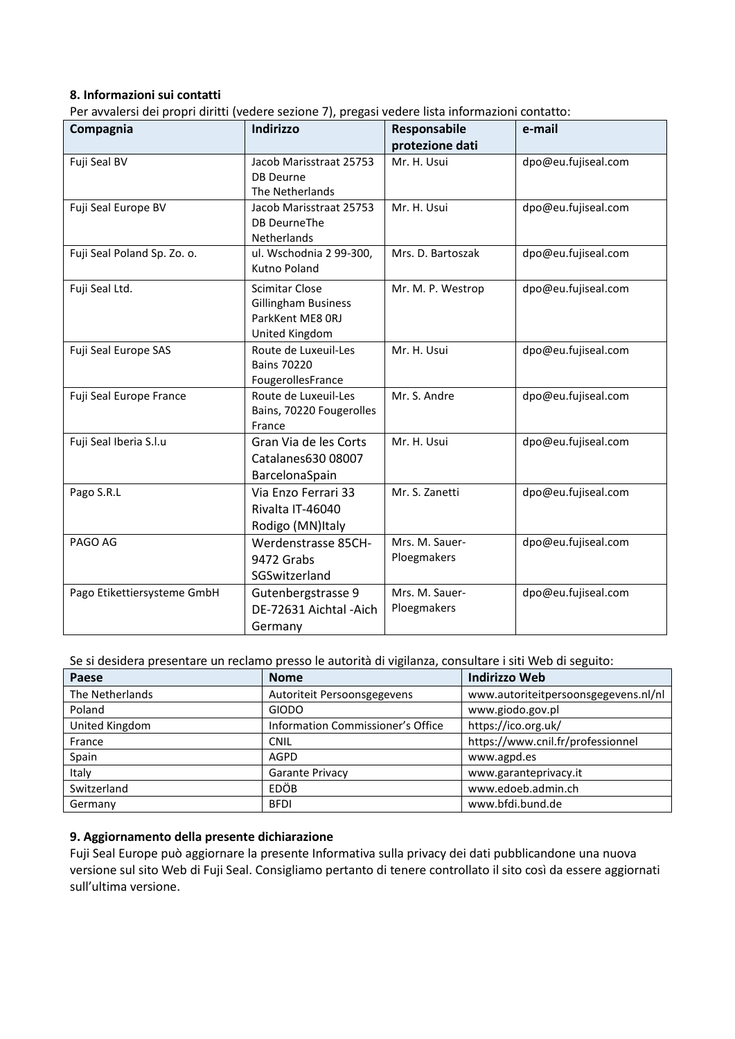# **8. Informazioni sui contatti**

Per avvalersi dei propri diritti (vedere sezione 7), pregasi vedere lista informazioni contatto:

| Compagnia                   | Indirizzo                                                                   | Responsabile                  | e-mail              |
|-----------------------------|-----------------------------------------------------------------------------|-------------------------------|---------------------|
|                             |                                                                             | protezione dati               |                     |
| Fuji Seal BV                | Jacob Marisstraat 25753<br><b>DB</b> Deurne<br>The Netherlands              | Mr. H. Usui                   | dpo@eu.fujiseal.com |
| Fuji Seal Europe BV         | Jacob Marisstraat 25753<br>DB DeurneThe<br>Netherlands                      | Mr. H. Usui                   | dpo@eu.fujiseal.com |
| Fuji Seal Poland Sp. Zo. o. | ul. Wschodnia 2 99-300,<br>Kutno Poland                                     | Mrs. D. Bartoszak             | dpo@eu.fujiseal.com |
| Fuji Seal Ltd.              | Scimitar Close<br>Gillingham Business<br>ParkKent ME8 ORJ<br>United Kingdom | Mr. M. P. Westrop             | dpo@eu.fujiseal.com |
| Fuji Seal Europe SAS        | Route de Luxeuil-Les<br><b>Bains 70220</b><br>FougerollesFrance             | Mr. H. Usui                   | dpo@eu.fujiseal.com |
| Fuji Seal Europe France     | Route de Luxeuil-Les<br>Bains, 70220 Fougerolles<br>France                  | Mr. S. Andre                  | dpo@eu.fujiseal.com |
| Fuji Seal Iberia S.l.u      | Gran Via de les Corts<br>Catalanes630 08007<br>BarcelonaSpain               | Mr. H. Usui                   | dpo@eu.fujiseal.com |
| Pago S.R.L                  | Via Enzo Ferrari 33<br>Rivalta IT-46040<br>Rodigo (MN)Italy                 | Mr. S. Zanetti                | dpo@eu.fujiseal.com |
| PAGO AG                     | Werdenstrasse 85CH-<br>9472 Grabs<br>SGSwitzerland                          | Mrs. M. Sauer-<br>Ploegmakers | dpo@eu.fujiseal.com |
| Pago Etikettiersysteme GmbH | Gutenbergstrasse 9<br>DE-72631 Aichtal -Aich<br>Germany                     | Mrs. M. Sauer-<br>Ploegmakers | dpo@eu.fujiseal.com |

Se si desidera presentare un reclamo presso le autorità di vigilanza, consultare i siti Web di seguito:

| Paese           | <b>Nome</b>                       | <b>Indirizzo Web</b>                 |
|-----------------|-----------------------------------|--------------------------------------|
| The Netherlands | Autoriteit Persoonsgegevens       | www.autoriteitpersoonsgegevens.nl/nl |
| Poland          | <b>GIODO</b>                      | www.giodo.gov.pl                     |
| United Kingdom  | Information Commissioner's Office | https://ico.org.uk/                  |
| France          | <b>CNIL</b>                       | https://www.cnil.fr/professionnel    |
| Spain           | <b>AGPD</b>                       | www.agpd.es                          |
| Italy           | Garante Privacy                   | www.garanteprivacy.it                |
| Switzerland     | <b>EDÖB</b>                       | www.edoeb.admin.ch                   |
| Germany         | <b>BFDI</b>                       | www.bfdi.bund.de                     |

# **9. Aggiornamento della presente dichiarazione**

Fuji Seal Europe può aggiornare la presente Informativa sulla privacy dei dati pubblicandone una nuova versione sul sito Web di Fuji Seal. Consigliamo pertanto di tenere controllato il sito così da essere aggiornati sull'ultima versione.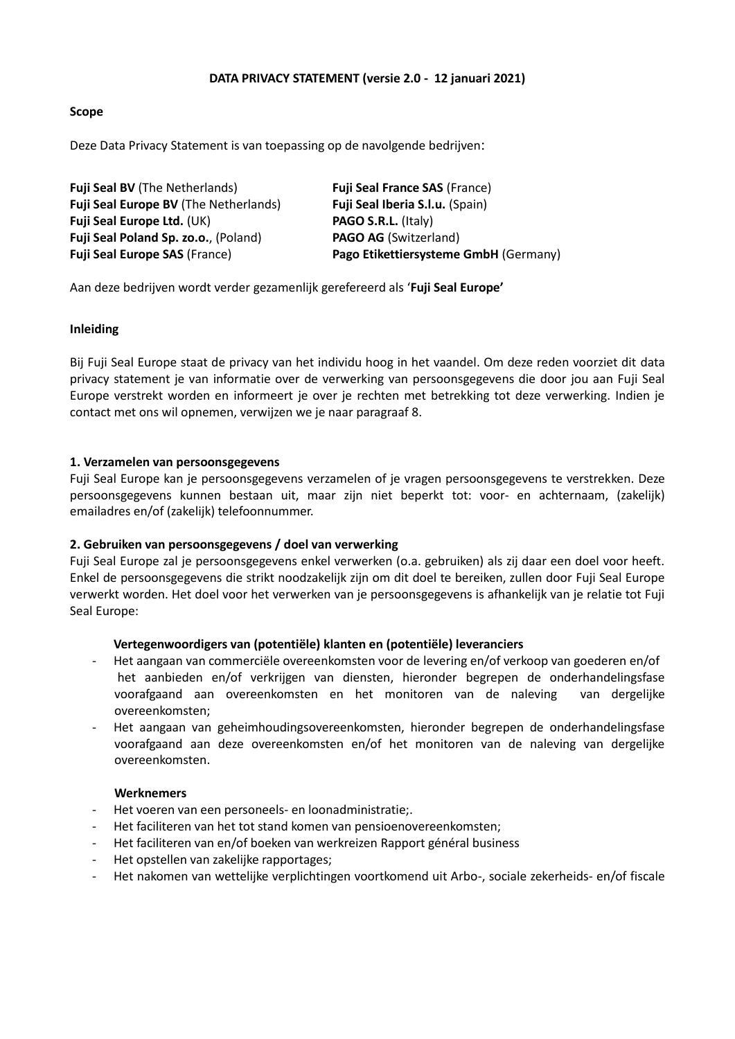## **DATA PRIVACY STATEMENT (versie 2.0 - 12 januari 2021)**

### **Scope**

Deze Data Privacy Statement is van toepassing op de navolgende bedrijven:

**Fuji Seal BV** (The Netherlands) **Fuji Seal France SAS** (France) **Fuji Seal Europe BV** (The Netherlands) **Fuji Seal Iberia S.l.u.** (Spain) **Fuji Seal Europe Ltd.** (UK) **PAGO S.R.L.** (Italy) **Fuji Seal Poland Sp. zo.o.**, (Poland) **PAGO AG** (Switzerland)

**Fuji Seal Europe SAS** (France) **Pago Etikettiersysteme GmbH** (Germany)

Aan deze bedrijven wordt verder gezamenlijk gerefereerd als '**Fuji Seal Europe'**

### **Inleiding**

Bij Fuji Seal Europe staat de privacy van het individu hoog in het vaandel. Om deze reden voorziet dit data privacy statement je van informatie over de verwerking van persoonsgegevens die door jou aan Fuji Seal Europe verstrekt worden en informeert je over je rechten met betrekking tot deze verwerking. Indien je contact met ons wil opnemen, verwijzen we je naar paragraaf 8.

### **1. Verzamelen van persoonsgegevens**

Fuji Seal Europe kan je persoonsgegevens verzamelen of je vragen persoonsgegevens te verstrekken. Deze persoonsgegevens kunnen bestaan uit, maar zijn niet beperkt tot: voor- en achternaam, (zakelijk) emailadres en/of (zakelijk) telefoonnummer.

## **2. Gebruiken van persoonsgegevens / doel van verwerking**

Fuji Seal Europe zal je persoonsgegevens enkel verwerken (o.a. gebruiken) als zij daar een doel voor heeft. Enkel de persoonsgegevens die strikt noodzakelijk zijn om dit doel te bereiken, zullen door Fuji Seal Europe verwerkt worden. Het doel voor het verwerken van je persoonsgegevens is afhankelijk van je relatie tot Fuji Seal Europe:

## **Vertegenwoordigers van (potentiële) klanten en (potentiële) leveranciers**

- Het aangaan van commerciële overeenkomsten voor de levering en/of verkoop van goederen en/of het aanbieden en/of verkrijgen van diensten, hieronder begrepen de onderhandelingsfase voorafgaand aan overeenkomsten en het monitoren van de naleving van dergelijke overeenkomsten;
- Het aangaan van geheimhoudingsovereenkomsten, hieronder begrepen de onderhandelingsfase voorafgaand aan deze overeenkomsten en/of het monitoren van de naleving van dergelijke overeenkomsten.

#### **Werknemers**

- Het voeren van een personeels- en loonadministratie;.
- Het faciliteren van het tot stand komen van pensioenovereenkomsten;
- Het faciliteren van en/of boeken van werkreizen Rapport général business
- Het opstellen van zakelijke rapportages;
- Het nakomen van wettelijke verplichtingen voortkomend uit Arbo-, sociale zekerheids- en/of fiscale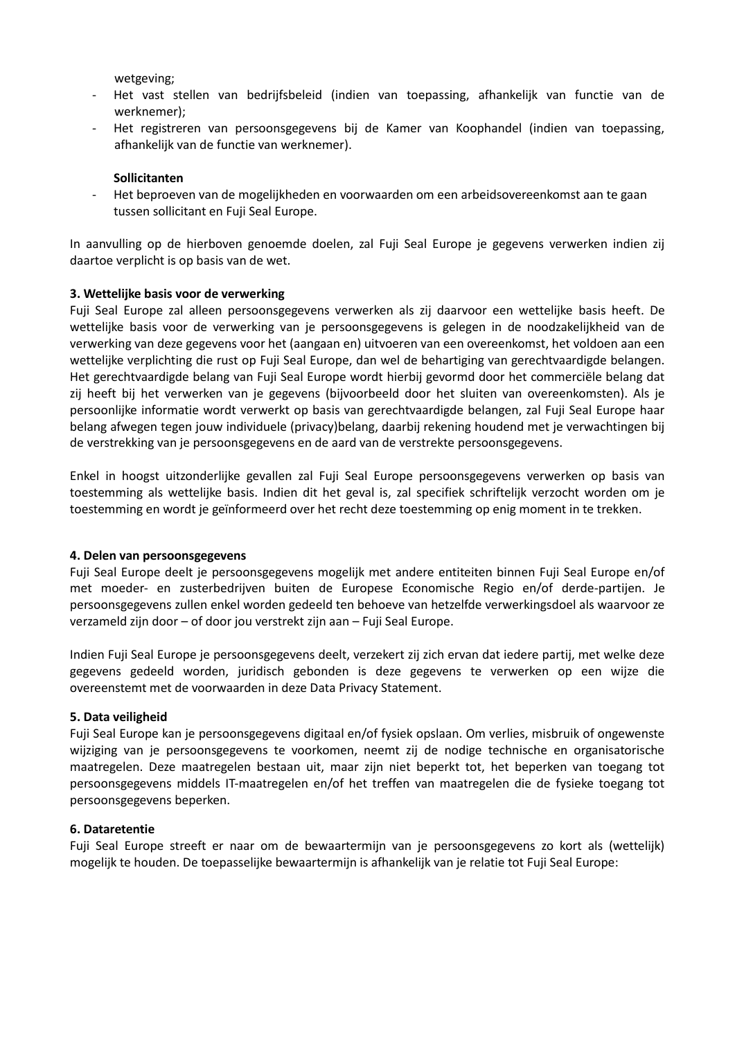wetgeving;

- Het vast stellen van bedrijfsbeleid (indien van toepassing, afhankelijk van functie van de werknemer);
- Het registreren van persoonsgegevens bij de Kamer van Koophandel (indien van toepassing, afhankelijk van de functie van werknemer).

### **Sollicitanten**

- Het beproeven van de mogelijkheden en voorwaarden om een arbeidsovereenkomst aan te gaan tussen sollicitant en Fuji Seal Europe.

In aanvulling op de hierboven genoemde doelen, zal Fuji Seal Europe je gegevens verwerken indien zij daartoe verplicht is op basis van de wet.

### **3. Wettelijke basis voor de verwerking**

Fuji Seal Europe zal alleen persoonsgegevens verwerken als zij daarvoor een wettelijke basis heeft. De wettelijke basis voor de verwerking van je persoonsgegevens is gelegen in de noodzakelijkheid van de verwerking van deze gegevens voor het (aangaan en) uitvoeren van een overeenkomst, het voldoen aan een wettelijke verplichting die rust op Fuji Seal Europe, dan wel de behartiging van gerechtvaardigde belangen. Het gerechtvaardigde belang van Fuji Seal Europe wordt hierbij gevormd door het commerciële belang dat zij heeft bij het verwerken van je gegevens (bijvoorbeeld door het sluiten van overeenkomsten). Als je persoonlijke informatie wordt verwerkt op basis van gerechtvaardigde belangen, zal Fuji Seal Europe haar belang afwegen tegen jouw individuele (privacy)belang, daarbij rekening houdend met je verwachtingen bij de verstrekking van je persoonsgegevens en de aard van de verstrekte persoonsgegevens.

Enkel in hoogst uitzonderlijke gevallen zal Fuji Seal Europe persoonsgegevens verwerken op basis van toestemming als wettelijke basis. Indien dit het geval is, zal specifiek schriftelijk verzocht worden om je toestemming en wordt je geïnformeerd over het recht deze toestemming op enig moment in te trekken.

#### **4. Delen van persoonsgegevens**

Fuji Seal Europe deelt je persoonsgegevens mogelijk met andere entiteiten binnen Fuji Seal Europe en/of met moeder- en zusterbedrijven buiten de Europese Economische Regio en/of derde-partijen. Je persoonsgegevens zullen enkel worden gedeeld ten behoeve van hetzelfde verwerkingsdoel als waarvoor ze verzameld zijn door – of door jou verstrekt zijn aan – Fuji Seal Europe.

Indien Fuji Seal Europe je persoonsgegevens deelt, verzekert zij zich ervan dat iedere partij, met welke deze gegevens gedeeld worden, juridisch gebonden is deze gegevens te verwerken op een wijze die overeenstemt met de voorwaarden in deze Data Privacy Statement.

## **5. Data veiligheid**

Fuji Seal Europe kan je persoonsgegevens digitaal en/of fysiek opslaan. Om verlies, misbruik of ongewenste wijziging van je persoonsgegevens te voorkomen, neemt zij de nodige technische en organisatorische maatregelen. Deze maatregelen bestaan uit, maar zijn niet beperkt tot, het beperken van toegang tot persoonsgegevens middels IT-maatregelen en/of het treffen van maatregelen die de fysieke toegang tot persoonsgegevens beperken.

#### **6. Dataretentie**

Fuji Seal Europe streeft er naar om de bewaartermijn van je persoonsgegevens zo kort als (wettelijk) mogelijk te houden. De toepasselijke bewaartermijn is afhankelijk van je relatie tot Fuji Seal Europe: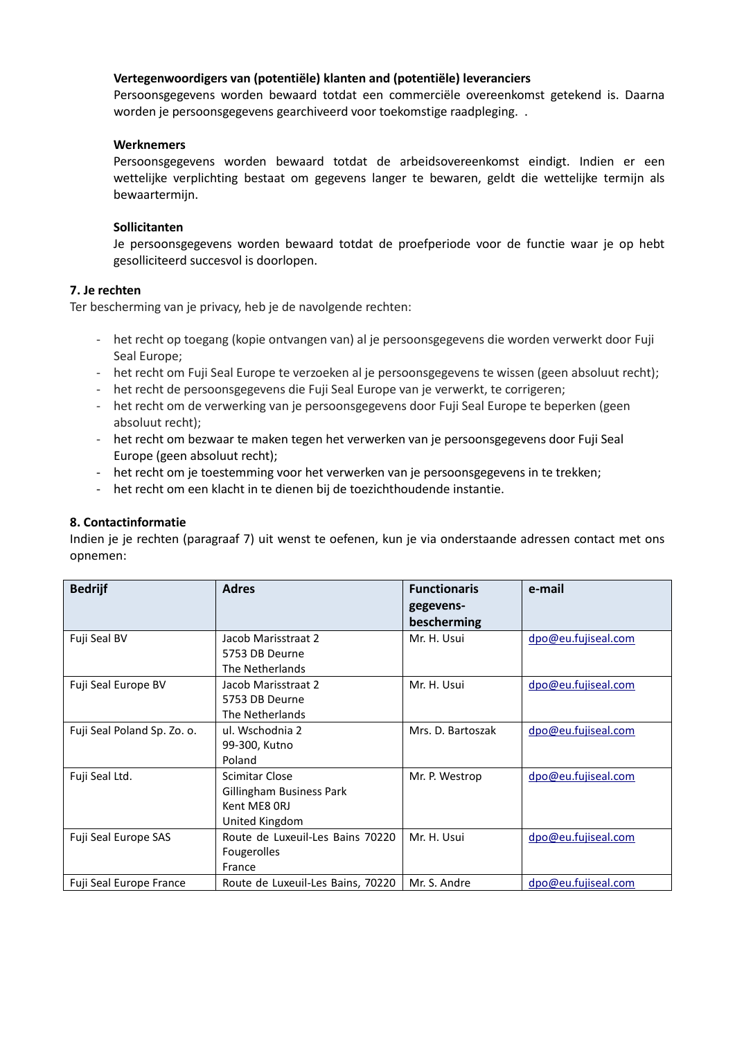## **Vertegenwoordigers van (potentiële) klanten and (potentiële) leveranciers**

Persoonsgegevens worden bewaard totdat een commerciële overeenkomst getekend is. Daarna worden je persoonsgegevens gearchiveerd voor toekomstige raadpleging. .

# **Werknemers**

Persoonsgegevens worden bewaard totdat de arbeidsovereenkomst eindigt. Indien er een wettelijke verplichting bestaat om gegevens langer te bewaren, geldt die wettelijke termijn als bewaartermijn.

# **Sollicitanten**

Je persoonsgegevens worden bewaard totdat de proefperiode voor de functie waar je op hebt gesolliciteerd succesvol is doorlopen.

# **7. Je rechten**

Ter bescherming van je privacy, heb je de navolgende rechten:

- het recht op toegang (kopie ontvangen van) al je persoonsgegevens die worden verwerkt door Fuji Seal Europe;
- het recht om Fuji Seal Europe te verzoeken al je persoonsgegevens te wissen (geen absoluut recht);
- het recht de persoonsgegevens die Fuji Seal Europe van je verwerkt, te corrigeren;
- het recht om de verwerking van je persoonsgegevens door Fuji Seal Europe te beperken (geen absoluut recht);
- het recht om bezwaar te maken tegen het verwerken van je persoonsgegevens door Fuji Seal Europe (geen absoluut recht);
- het recht om je toestemming voor het verwerken van je persoonsgegevens in te trekken;
- het recht om een klacht in te dienen bij de toezichthoudende instantie.

# **8. Contactinformatie**

Indien je je rechten (paragraaf 7) uit wenst te oefenen, kun je via onderstaande adressen contact met ons opnemen:

| <b>Bedrijf</b>              | <b>Adres</b>                      | <b>Functionaris</b> | e-mail              |
|-----------------------------|-----------------------------------|---------------------|---------------------|
|                             |                                   | gegevens-           |                     |
|                             |                                   | bescherming         |                     |
| Fuji Seal BV                | Jacob Marisstraat 2               | Mr. H. Usui         | dpo@eu.fujiseal.com |
|                             | 5753 DB Deurne                    |                     |                     |
|                             | The Netherlands                   |                     |                     |
| Fuji Seal Europe BV         | Jacob Marisstraat 2               | Mr. H. Usui         | dpo@eu.fujiseal.com |
|                             | 5753 DB Deurne                    |                     |                     |
|                             | The Netherlands                   |                     |                     |
| Fuji Seal Poland Sp. Zo. o. | ul. Wschodnia 2                   | Mrs. D. Bartoszak   | dpo@eu.fujiseal.com |
|                             | 99-300, Kutno                     |                     |                     |
|                             | Poland                            |                     |                     |
| Fuji Seal Ltd.              | <b>Scimitar Close</b>             | Mr. P. Westrop      | dpo@eu.fujiseal.com |
|                             | Gillingham Business Park          |                     |                     |
|                             | Kent ME8 ORJ                      |                     |                     |
|                             | United Kingdom                    |                     |                     |
| Fuji Seal Europe SAS        | Route de Luxeuil-Les Bains 70220  | Mr. H. Usui         | dpo@eu.fujiseal.com |
|                             | <b>Fougerolles</b>                |                     |                     |
|                             | France                            |                     |                     |
| Fuji Seal Europe France     | Route de Luxeuil-Les Bains, 70220 | Mr. S. Andre        | dpo@eu.fujiseal.com |